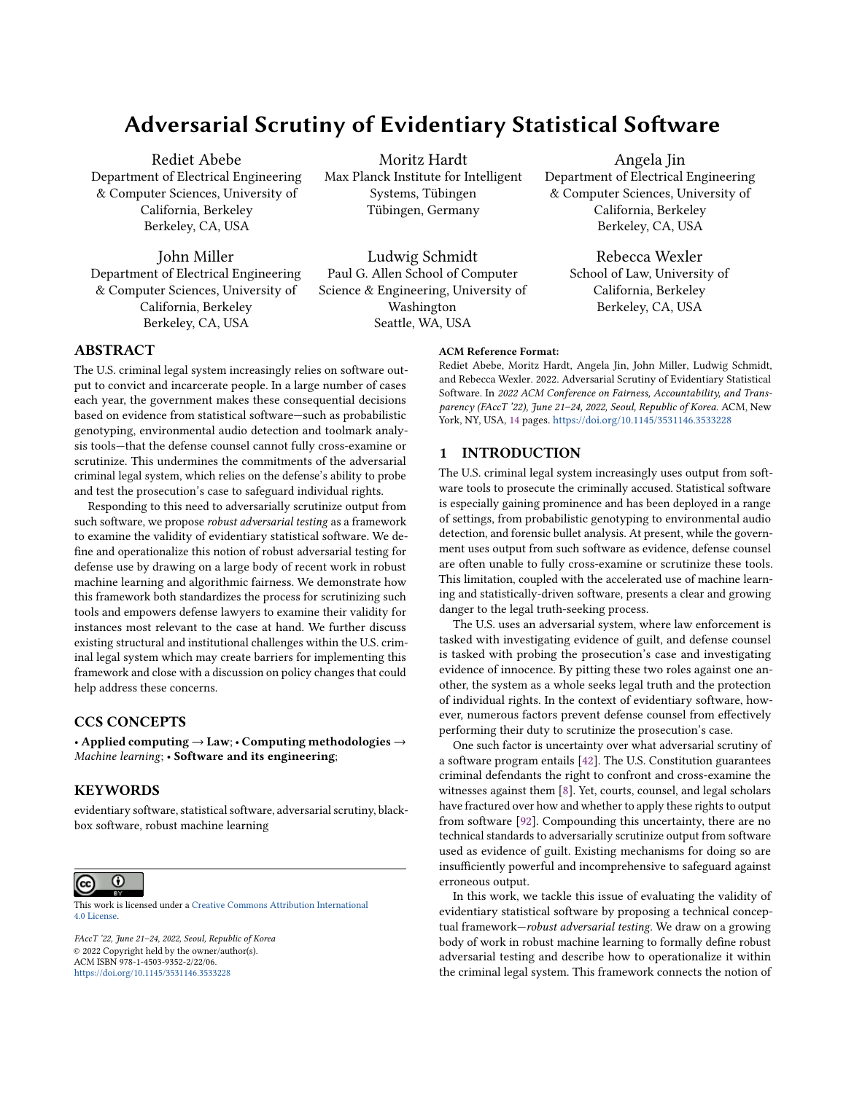# Adversarial Scrutiny of Evidentiary Statistical Software

Rediet Abebe Department of Electrical Engineering & Computer Sciences, University of California, Berkeley Berkeley, CA, USA

John Miller Department of Electrical Engineering & Computer Sciences, University of California, Berkeley Berkeley, CA, USA

Moritz Hardt Max Planck Institute for Intelligent Systems, Tübingen Tübingen, Germany

Ludwig Schmidt Paul G. Allen School of Computer Science & Engineering, University of Washington Seattle, WA, USA

Angela Jin Department of Electrical Engineering & Computer Sciences, University of California, Berkeley Berkeley, CA, USA

> Rebecca Wexler School of Law, University of California, Berkeley Berkeley, CA, USA

# ABSTRACT

The U.S. criminal legal system increasingly relies on software output to convict and incarcerate people. In a large number of cases each year, the government makes these consequential decisions based on evidence from statistical software—such as probabilistic genotyping, environmental audio detection and toolmark analysis tools—that the defense counsel cannot fully cross-examine or scrutinize. This undermines the commitments of the adversarial criminal legal system, which relies on the defense's ability to probe and test the prosecution's case to safeguard individual rights.

Responding to this need to adversarially scrutinize output from such software, we propose robust adversarial testing as a framework to examine the validity of evidentiary statistical software. We define and operationalize this notion of robust adversarial testing for defense use by drawing on a large body of recent work in robust machine learning and algorithmic fairness. We demonstrate how this framework both standardizes the process for scrutinizing such tools and empowers defense lawyers to examine their validity for instances most relevant to the case at hand. We further discuss existing structural and institutional challenges within the U.S. criminal legal system which may create barriers for implementing this framework and close with a discussion on policy changes that could help address these concerns.

## CCS CONCEPTS

• Applied computing → Law; • Computing methodologies → Machine learning; • Software and its engineering;

## **KEYWORDS**

evidentiary software, statistical software, adversarial scrutiny, blackbox software, robust machine learning



This work is licensed under a [Creative Commons Attribution International](https://creativecommons.org/licenses/by/4.0/) [4.0 License.](https://creativecommons.org/licenses/by/4.0/)

FAccT '22, June 21–24, 2022, Seoul, Republic of Korea © 2022 Copyright held by the owner/author(s). ACM ISBN 978-1-4503-9352-2/22/06. <https://doi.org/10.1145/3531146.3533228>

## ACM Reference Format:

Rediet Abebe, Moritz Hardt, Angela Jin, John Miller, Ludwig Schmidt, and Rebecca Wexler. 2022. Adversarial Scrutiny of Evidentiary Statistical Software. In 2022 ACM Conference on Fairness, Accountability, and Transparency (FAccT '22), June 21-24, 2022, Seoul, Republic of Korea. ACM, New York, NY, USA, [14](#page-13-0) pages. <https://doi.org/10.1145/3531146.3533228>

# 1 INTRODUCTION

The U.S. criminal legal system increasingly uses output from software tools to prosecute the criminally accused. Statistical software is especially gaining prominence and has been deployed in a range of settings, from probabilistic genotyping to environmental audio detection, and forensic bullet analysis. At present, while the government uses output from such software as evidence, defense counsel are often unable to fully cross-examine or scrutinize these tools. This limitation, coupled with the accelerated use of machine learning and statistically-driven software, presents a clear and growing danger to the legal truth-seeking process.

The U.S. uses an adversarial system, where law enforcement is tasked with investigating evidence of guilt, and defense counsel is tasked with probing the prosecution's case and investigating evidence of innocence. By pitting these two roles against one another, the system as a whole seeks legal truth and the protection of individual rights. In the context of evidentiary software, however, numerous factors prevent defense counsel from effectively performing their duty to scrutinize the prosecution's case.

One such factor is uncertainty over what adversarial scrutiny of a software program entails [\[42\]](#page-10-0). The U.S. Constitution guarantees criminal defendants the right to confront and cross-examine the witnesses against them [\[8\]](#page-9-0). Yet, courts, counsel, and legal scholars have fractured over how and whether to apply these rights to output from software [\[92\]](#page-11-0). Compounding this uncertainty, there are no technical standards to adversarially scrutinize output from software used as evidence of guilt. Existing mechanisms for doing so are insufficiently powerful and incomprehensive to safeguard against erroneous output.

In this work, we tackle this issue of evaluating the validity of evidentiary statistical software by proposing a technical conceptual framework—robust adversarial testing. We draw on a growing body of work in robust machine learning to formally define robust adversarial testing and describe how to operationalize it within the criminal legal system. This framework connects the notion of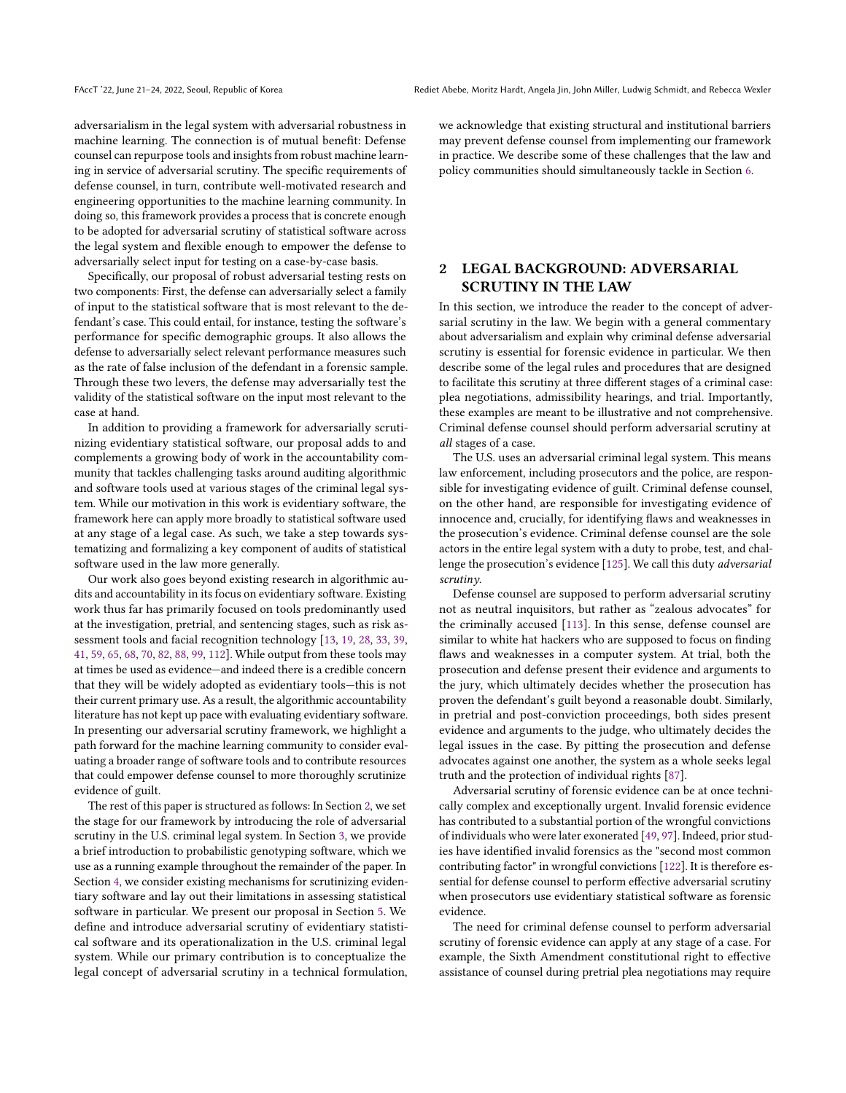adversarialism in the legal system with adversarial robustness in machine learning. The connection is of mutual benefit: Defense counsel can repurpose tools and insights from robust machine learning in service of adversarial scrutiny. The specific requirements of defense counsel, in turn, contribute well-motivated research and engineering opportunities to the machine learning community. In doing so, this framework provides a process that is concrete enough to be adopted for adversarial scrutiny of statistical software across the legal system and flexible enough to empower the defense to adversarially select input for testing on a case-by-case basis.

Specifically, our proposal of robust adversarial testing rests on two components: First, the defense can adversarially select a family of input to the statistical software that is most relevant to the defendant's case. This could entail, for instance, testing the software's performance for specific demographic groups. It also allows the defense to adversarially select relevant performance measures such as the rate of false inclusion of the defendant in a forensic sample. Through these two levers, the defense may adversarially test the validity of the statistical software on the input most relevant to the case at hand.

In addition to providing a framework for adversarially scrutinizing evidentiary statistical software, our proposal adds to and complements a growing body of work in the accountability community that tackles challenging tasks around auditing algorithmic and software tools used at various stages of the criminal legal system. While our motivation in this work is evidentiary software, the framework here can apply more broadly to statistical software used at any stage of a legal case. As such, we take a step towards systematizing and formalizing a key component of audits of statistical software used in the law more generally.

Our work also goes beyond existing research in algorithmic audits and accountability in its focus on evidentiary software. Existing work thus far has primarily focused on tools predominantly used at the investigation, pretrial, and sentencing stages, such as risk assessment tools and facial recognition technology [\[13,](#page-9-1) [19,](#page-9-2) [28,](#page-9-3) [33,](#page-10-1) [39,](#page-10-2) [41,](#page-10-3) [59,](#page-10-4) [65,](#page-10-5) [68,](#page-10-6) [70,](#page-10-7) [82,](#page-10-8) [88,](#page-11-1) [99,](#page-11-2) [112\]](#page-11-3). While output from these tools may at times be used as evidence—and indeed there is a credible concern that they will be widely adopted as evidentiary tools—this is not their current primary use. As a result, the algorithmic accountability literature has not kept up pace with evaluating evidentiary software. In presenting our adversarial scrutiny framework, we highlight a path forward for the machine learning community to consider evaluating a broader range of software tools and to contribute resources that could empower defense counsel to more thoroughly scrutinize evidence of guilt.

The rest of this paper is structured as follows: In Section [2,](#page-1-0) we set the stage for our framework by introducing the role of adversarial scrutiny in the U.S. criminal legal system. In Section [3,](#page-2-0) we provide a brief introduction to probabilistic genotyping software, which we use as a running example throughout the remainder of the paper. In Section [4,](#page-3-0) we consider existing mechanisms for scrutinizing evidentiary software and lay out their limitations in assessing statistical software in particular. We present our proposal in Section [5.](#page-4-0) We define and introduce adversarial scrutiny of evidentiary statistical software and its operationalization in the U.S. criminal legal system. While our primary contribution is to conceptualize the legal concept of adversarial scrutiny in a technical formulation, we acknowledge that existing structural and institutional barriers may prevent defense counsel from implementing our framework in practice. We describe some of these challenges that the law and policy communities should simultaneously tackle in Section [6.](#page-7-0)

## <span id="page-1-0"></span>2 LEGAL BACKGROUND: ADVERSARIAL SCRUTINY IN THE LAW

In this section, we introduce the reader to the concept of adversarial scrutiny in the law. We begin with a general commentary about adversarialism and explain why criminal defense adversarial scrutiny is essential for forensic evidence in particular. We then describe some of the legal rules and procedures that are designed to facilitate this scrutiny at three different stages of a criminal case: plea negotiations, admissibility hearings, and trial. Importantly, these examples are meant to be illustrative and not comprehensive. Criminal defense counsel should perform adversarial scrutiny at all stages of a case.

The U.S. uses an adversarial criminal legal system. This means law enforcement, including prosecutors and the police, are responsible for investigating evidence of guilt. Criminal defense counsel, on the other hand, are responsible for investigating evidence of innocence and, crucially, for identifying flaws and weaknesses in the prosecution's evidence. Criminal defense counsel are the sole actors in the entire legal system with a duty to probe, test, and challenge the prosecution's evidence [\[125\]](#page-11-4). We call this duty adversarial scrutiny.

Defense counsel are supposed to perform adversarial scrutiny not as neutral inquisitors, but rather as "zealous advocates" for the criminally accused [\[113\]](#page-11-5). In this sense, defense counsel are similar to white hat hackers who are supposed to focus on finding flaws and weaknesses in a computer system. At trial, both the prosecution and defense present their evidence and arguments to the jury, which ultimately decides whether the prosecution has proven the defendant's guilt beyond a reasonable doubt. Similarly, in pretrial and post-conviction proceedings, both sides present evidence and arguments to the judge, who ultimately decides the legal issues in the case. By pitting the prosecution and defense advocates against one another, the system as a whole seeks legal truth and the protection of individual rights [\[87\]](#page-11-6).

Adversarial scrutiny of forensic evidence can be at once technically complex and exceptionally urgent. Invalid forensic evidence has contributed to a substantial portion of the wrongful convictions of individuals who were later exonerated [\[49,](#page-10-9) [97\]](#page-11-7). Indeed, prior studies have identified invalid forensics as the "second most common contributing factor" in wrongful convictions [\[122\]](#page-11-8). It is therefore essential for defense counsel to perform effective adversarial scrutiny when prosecutors use evidentiary statistical software as forensic evidence.

The need for criminal defense counsel to perform adversarial scrutiny of forensic evidence can apply at any stage of a case. For example, the Sixth Amendment constitutional right to effective assistance of counsel during pretrial plea negotiations may require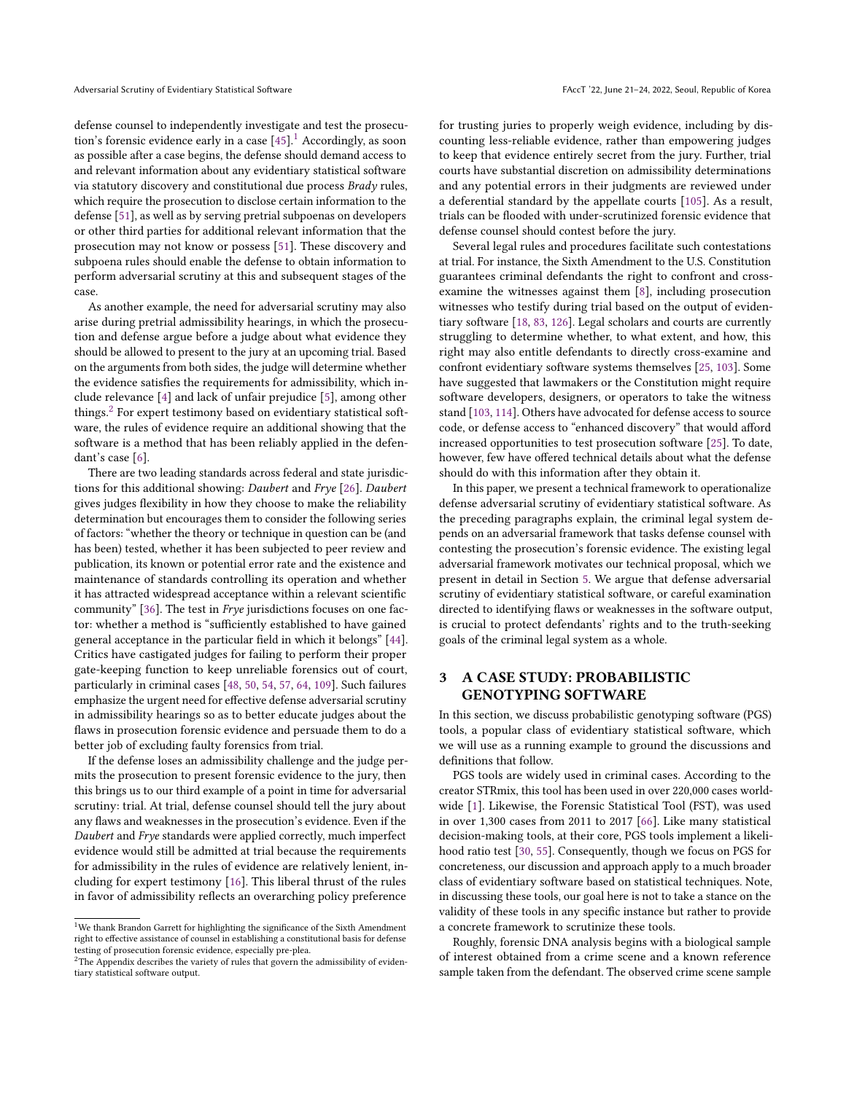defense counsel to independently investigate and test the prosecution's forensic evidence early in a case  $[45]$ .<sup>[1](#page-2-1)</sup> Accordingly, as soon as possible after a case begins, the defense should demand access to and relevant information about any evidentiary statistical software via statutory discovery and constitutional due process Brady rules, which require the prosecution to disclose certain information to the defense [\[51\]](#page-10-11), as well as by serving pretrial subpoenas on developers or other third parties for additional relevant information that the prosecution may not know or possess [\[51\]](#page-10-11). These discovery and subpoena rules should enable the defense to obtain information to perform adversarial scrutiny at this and subsequent stages of the case.

As another example, the need for adversarial scrutiny may also arise during pretrial admissibility hearings, in which the prosecution and defense argue before a judge about what evidence they should be allowed to present to the jury at an upcoming trial. Based on the arguments from both sides, the judge will determine whether the evidence satisfies the requirements for admissibility, which include relevance [\[4\]](#page-9-4) and lack of unfair prejudice [\[5\]](#page-9-5), among other things.<sup>[2](#page-2-2)</sup> For expert testimony based on evidentiary statistical software, the rules of evidence require an additional showing that the software is a method that has been reliably applied in the defendant's case [\[6\]](#page-9-6).

There are two leading standards across federal and state jurisdictions for this additional showing: Daubert and Frye [\[26\]](#page-9-7). Daubert gives judges flexibility in how they choose to make the reliability determination but encourages them to consider the following series of factors: "whether the theory or technique in question can be (and has been) tested, whether it has been subjected to peer review and publication, its known or potential error rate and the existence and maintenance of standards controlling its operation and whether it has attracted widespread acceptance within a relevant scientific community" [\[36\]](#page-10-12). The test in Frye jurisdictions focuses on one factor: whether a method is "sufficiently established to have gained general acceptance in the particular field in which it belongs" [\[44\]](#page-10-13). Critics have castigated judges for failing to perform their proper gate-keeping function to keep unreliable forensics out of court, particularly in criminal cases [\[48,](#page-10-14) [50,](#page-10-15) [54,](#page-10-16) [57,](#page-10-17) [64,](#page-10-18) [109\]](#page-11-9). Such failures emphasize the urgent need for effective defense adversarial scrutiny in admissibility hearings so as to better educate judges about the flaws in prosecution forensic evidence and persuade them to do a better job of excluding faulty forensics from trial.

If the defense loses an admissibility challenge and the judge permits the prosecution to present forensic evidence to the jury, then this brings us to our third example of a point in time for adversarial scrutiny: trial. At trial, defense counsel should tell the jury about any flaws and weaknesses in the prosecution's evidence. Even if the Daubert and Frye standards were applied correctly, much imperfect evidence would still be admitted at trial because the requirements for admissibility in the rules of evidence are relatively lenient, including for expert testimony [\[16\]](#page-9-8). This liberal thrust of the rules in favor of admissibility reflects an overarching policy preference

for trusting juries to properly weigh evidence, including by discounting less-reliable evidence, rather than empowering judges to keep that evidence entirely secret from the jury. Further, trial courts have substantial discretion on admissibility determinations and any potential errors in their judgments are reviewed under a deferential standard by the appellate courts [\[105\]](#page-11-10). As a result, trials can be flooded with under-scrutinized forensic evidence that defense counsel should contest before the jury.

Several legal rules and procedures facilitate such contestations at trial. For instance, the Sixth Amendment to the U.S. Constitution guarantees criminal defendants the right to confront and crossexamine the witnesses against them [\[8\]](#page-9-0), including prosecution witnesses who testify during trial based on the output of evidentiary software [\[18,](#page-9-9) [83,](#page-10-19) [126\]](#page-11-11). Legal scholars and courts are currently struggling to determine whether, to what extent, and how, this right may also entitle defendants to directly cross-examine and confront evidentiary software systems themselves [\[25,](#page-9-10) [103\]](#page-11-12). Some have suggested that lawmakers or the Constitution might require software developers, designers, or operators to take the witness stand [\[103,](#page-11-12) [114\]](#page-11-13). Others have advocated for defense access to source code, or defense access to "enhanced discovery" that would afford increased opportunities to test prosecution software [\[25\]](#page-9-10). To date, however, few have offered technical details about what the defense should do with this information after they obtain it.

In this paper, we present a technical framework to operationalize defense adversarial scrutiny of evidentiary statistical software. As the preceding paragraphs explain, the criminal legal system depends on an adversarial framework that tasks defense counsel with contesting the prosecution's forensic evidence. The existing legal adversarial framework motivates our technical proposal, which we present in detail in Section [5.](#page-4-0) We argue that defense adversarial scrutiny of evidentiary statistical software, or careful examination directed to identifying flaws or weaknesses in the software output, is crucial to protect defendants' rights and to the truth-seeking goals of the criminal legal system as a whole.

# <span id="page-2-0"></span>3 A CASE STUDY: PROBABILISTIC GENOTYPING SOFTWARE

In this section, we discuss probabilistic genotyping software (PGS) tools, a popular class of evidentiary statistical software, which we will use as a running example to ground the discussions and definitions that follow.

PGS tools are widely used in criminal cases. According to the creator STRmix, this tool has been used in over 220,000 cases worldwide [\[1\]](#page-9-11). Likewise, the Forensic Statistical Tool (FST), was used in over 1,300 cases from 2011 to 2017 [\[66\]](#page-10-20). Like many statistical decision-making tools, at their core, PGS tools implement a likelihood ratio test [\[30,](#page-10-21) [55\]](#page-10-22). Consequently, though we focus on PGS for concreteness, our discussion and approach apply to a much broader class of evidentiary software based on statistical techniques. Note, in discussing these tools, our goal here is not to take a stance on the validity of these tools in any specific instance but rather to provide a concrete framework to scrutinize these tools.

Roughly, forensic DNA analysis begins with a biological sample of interest obtained from a crime scene and a known reference sample taken from the defendant. The observed crime scene sample

<span id="page-2-1"></span> $^{\rm 1}{\rm We}$  thank Brandon Garrett for highlighting the significance of the Sixth Amendment right to effective assistance of counsel in establishing a constitutional basis for defense testing of prosecution forensic evidence, especially pre-plea.

<span id="page-2-2"></span><sup>&</sup>lt;sup>2</sup>The Appendix describes the variety of rules that govern the admissibility of evidentiary statistical software output.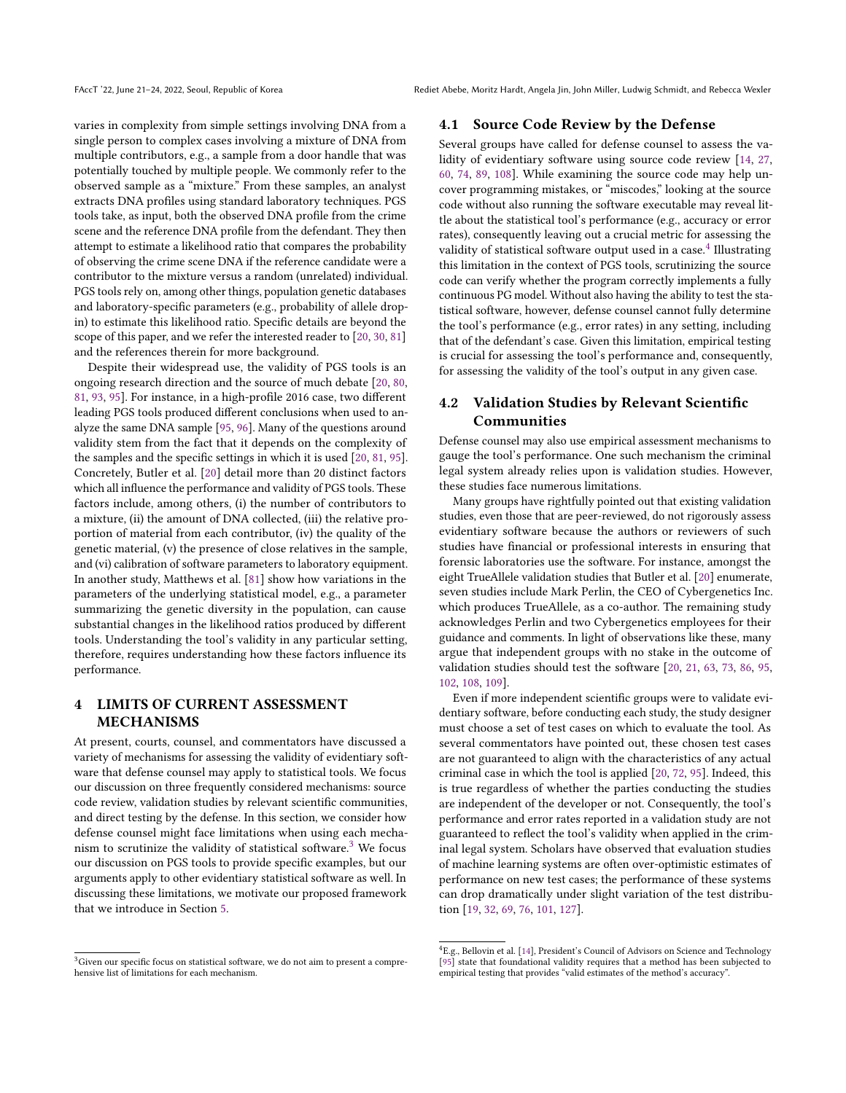varies in complexity from simple settings involving DNA from a single person to complex cases involving a mixture of DNA from multiple contributors, e.g., a sample from a door handle that was potentially touched by multiple people. We commonly refer to the observed sample as a "mixture." From these samples, an analyst extracts DNA profiles using standard laboratory techniques. PGS tools take, as input, both the observed DNA profile from the crime scene and the reference DNA profile from the defendant. They then attempt to estimate a likelihood ratio that compares the probability of observing the crime scene DNA if the reference candidate were a contributor to the mixture versus a random (unrelated) individual. PGS tools rely on, among other things, population genetic databases and laboratory-specific parameters (e.g., probability of allele dropin) to estimate this likelihood ratio. Specific details are beyond the scope of this paper, and we refer the interested reader to [\[20,](#page-9-12) [30,](#page-10-21) [81\]](#page-10-23) and the references therein for more background.

Despite their widespread use, the validity of PGS tools is an ongoing research direction and the source of much debate [\[20,](#page-9-12) [80,](#page-10-24) [81,](#page-10-23) [93,](#page-11-14) [95\]](#page-11-15). For instance, in a high-profile 2016 case, two different leading PGS tools produced different conclusions when used to analyze the same DNA sample [\[95,](#page-11-15) [96\]](#page-11-16). Many of the questions around validity stem from the fact that it depends on the complexity of the samples and the specific settings in which it is used [\[20,](#page-9-12) [81,](#page-10-23) [95\]](#page-11-15). Concretely, Butler et al. [\[20\]](#page-9-12) detail more than 20 distinct factors which all influence the performance and validity of PGS tools. These factors include, among others, (i) the number of contributors to a mixture, (ii) the amount of DNA collected, (iii) the relative proportion of material from each contributor, (iv) the quality of the genetic material, (v) the presence of close relatives in the sample, and (vi) calibration of software parameters to laboratory equipment. In another study, Matthews et al. [\[81\]](#page-10-23) show how variations in the parameters of the underlying statistical model, e.g., a parameter summarizing the genetic diversity in the population, can cause substantial changes in the likelihood ratios produced by different tools. Understanding the tool's validity in any particular setting, therefore, requires understanding how these factors influence its performance.

# <span id="page-3-0"></span>4 LIMITS OF CURRENT ASSESSMENT MECHANISMS

At present, courts, counsel, and commentators have discussed a variety of mechanisms for assessing the validity of evidentiary software that defense counsel may apply to statistical tools. We focus our discussion on three frequently considered mechanisms: source code review, validation studies by relevant scientific communities, and direct testing by the defense. In this section, we consider how defense counsel might face limitations when using each mecha-nism to scrutinize the validity of statistical software.<sup>[3](#page-3-1)</sup> We focus our discussion on PGS tools to provide specific examples, but our arguments apply to other evidentiary statistical software as well. In discussing these limitations, we motivate our proposed framework that we introduce in Section [5.](#page-4-0)

#### 4.1 Source Code Review by the Defense

Several groups have called for defense counsel to assess the validity of evidentiary software using source code review [\[14,](#page-9-13) [27,](#page-9-14) [60,](#page-10-25) [74,](#page-10-26) [89,](#page-11-17) [108\]](#page-11-18). While examining the source code may help uncover programming mistakes, or "miscodes," looking at the source code without also running the software executable may reveal little about the statistical tool's performance (e.g., accuracy or error rates), consequently leaving out a crucial metric for assessing the validity of statistical software output used in a case.<sup>[4](#page-3-2)</sup> Illustrating this limitation in the context of PGS tools, scrutinizing the source code can verify whether the program correctly implements a fully continuous PG model. Without also having the ability to test the statistical software, however, defense counsel cannot fully determine the tool's performance (e.g., error rates) in any setting, including that of the defendant's case. Given this limitation, empirical testing is crucial for assessing the tool's performance and, consequently, for assessing the validity of the tool's output in any given case.

# 4.2 Validation Studies by Relevant Scientific Communities

Defense counsel may also use empirical assessment mechanisms to gauge the tool's performance. One such mechanism the criminal legal system already relies upon is validation studies. However, these studies face numerous limitations.

Many groups have rightfully pointed out that existing validation studies, even those that are peer-reviewed, do not rigorously assess evidentiary software because the authors or reviewers of such studies have financial or professional interests in ensuring that forensic laboratories use the software. For instance, amongst the eight TrueAllele validation studies that Butler et al. [\[20\]](#page-9-12) enumerate, seven studies include Mark Perlin, the CEO of Cybergenetics Inc. which produces TrueAllele, as a co-author. The remaining study acknowledges Perlin and two Cybergenetics employees for their guidance and comments. In light of observations like these, many argue that independent groups with no stake in the outcome of validation studies should test the software [\[20,](#page-9-12) [21,](#page-9-15) [63,](#page-10-27) [73,](#page-10-28) [86,](#page-10-29) [95,](#page-11-15) [102,](#page-11-19) [108,](#page-11-18) [109\]](#page-11-9).

Even if more independent scientific groups were to validate evidentiary software, before conducting each study, the study designer must choose a set of test cases on which to evaluate the tool. As several commentators have pointed out, these chosen test cases are not guaranteed to align with the characteristics of any actual criminal case in which the tool is applied [\[20,](#page-9-12) [72,](#page-10-30) [95\]](#page-11-15). Indeed, this is true regardless of whether the parties conducting the studies are independent of the developer or not. Consequently, the tool's performance and error rates reported in a validation study are not guaranteed to reflect the tool's validity when applied in the criminal legal system. Scholars have observed that evaluation studies of machine learning systems are often over-optimistic estimates of performance on new test cases; the performance of these systems can drop dramatically under slight variation of the test distribution [\[19,](#page-9-2) [32,](#page-10-31) [69,](#page-10-32) [76,](#page-10-33) [101,](#page-11-20) [127\]](#page-11-21).

<span id="page-3-1"></span><sup>&</sup>lt;sup>3</sup>Given our specific focus on statistical software, we do not aim to present a comprehensive list of limitations for each mechanism.

<span id="page-3-2"></span><sup>4</sup>E.g., Bellovin et al. [\[14\]](#page-9-13), President's Council of Advisors on Science and Technology [\[95\]](#page-11-15) state that foundational validity requires that a method has been subjected to empirical testing that provides "valid estimates of the method's accuracy".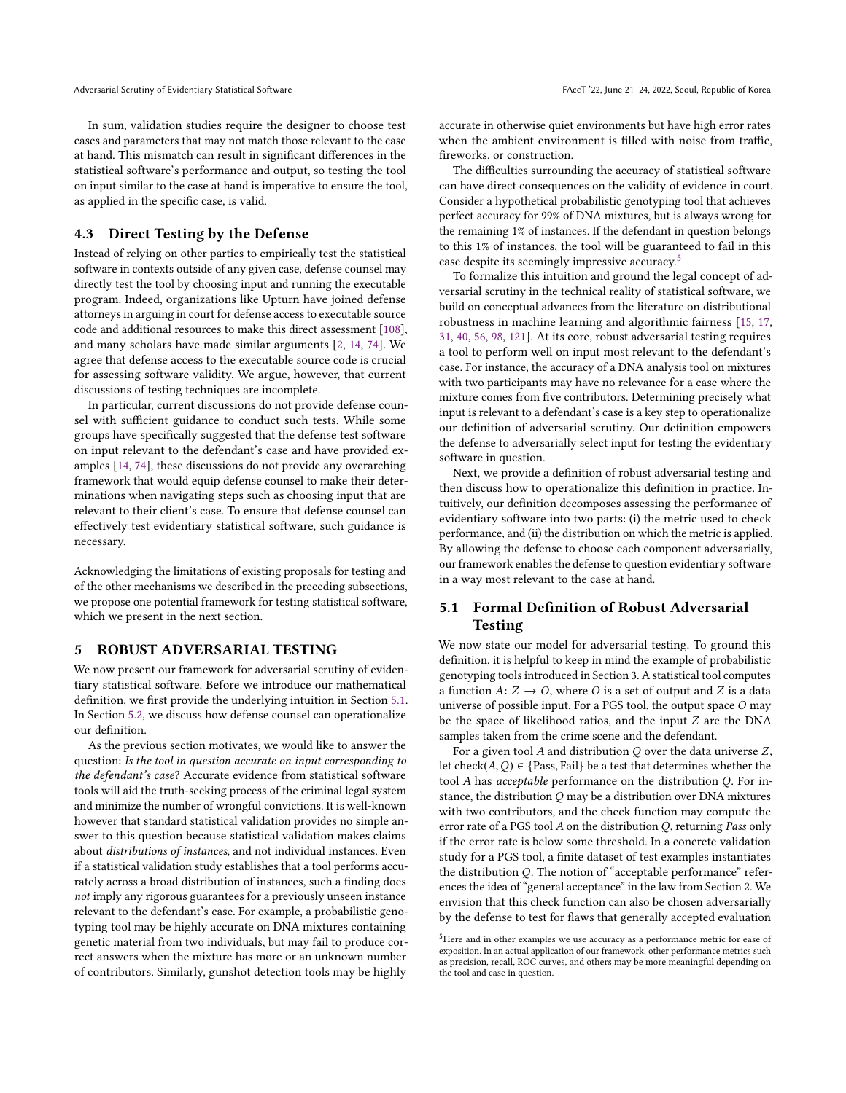In sum, validation studies require the designer to choose test cases and parameters that may not match those relevant to the case at hand. This mismatch can result in significant differences in the statistical software's performance and output, so testing the tool on input similar to the case at hand is imperative to ensure the tool, as applied in the specific case, is valid.

## 4.3 Direct Testing by the Defense

Instead of relying on other parties to empirically test the statistical software in contexts outside of any given case, defense counsel may directly test the tool by choosing input and running the executable program. Indeed, organizations like Upturn have joined defense attorneys in arguing in court for defense access to executable source code and additional resources to make this direct assessment [\[108\]](#page-11-18), and many scholars have made similar arguments [\[2,](#page-9-16) [14,](#page-9-13) [74\]](#page-10-26). We agree that defense access to the executable source code is crucial for assessing software validity. We argue, however, that current discussions of testing techniques are incomplete.

In particular, current discussions do not provide defense counsel with sufficient guidance to conduct such tests. While some groups have specifically suggested that the defense test software on input relevant to the defendant's case and have provided examples [\[14,](#page-9-13) [74\]](#page-10-26), these discussions do not provide any overarching framework that would equip defense counsel to make their determinations when navigating steps such as choosing input that are relevant to their client's case. To ensure that defense counsel can effectively test evidentiary statistical software, such guidance is necessary.

Acknowledging the limitations of existing proposals for testing and of the other mechanisms we described in the preceding subsections, we propose one potential framework for testing statistical software, which we present in the next section.

#### <span id="page-4-0"></span>5 ROBUST ADVERSARIAL TESTING

We now present our framework for adversarial scrutiny of evidentiary statistical software. Before we introduce our mathematical definition, we first provide the underlying intuition in Section [5.1.](#page-4-1) In Section [5.2,](#page-5-0) we discuss how defense counsel can operationalize our definition.

As the previous section motivates, we would like to answer the question: Is the tool in question accurate on input corresponding to the defendant's case? Accurate evidence from statistical software tools will aid the truth-seeking process of the criminal legal system and minimize the number of wrongful convictions. It is well-known however that standard statistical validation provides no simple answer to this question because statistical validation makes claims about distributions of instances, and not individual instances. Even if a statistical validation study establishes that a tool performs accurately across a broad distribution of instances, such a finding does not imply any rigorous guarantees for a previously unseen instance relevant to the defendant's case. For example, a probabilistic genotyping tool may be highly accurate on DNA mixtures containing genetic material from two individuals, but may fail to produce correct answers when the mixture has more or an unknown number of contributors. Similarly, gunshot detection tools may be highly

accurate in otherwise quiet environments but have high error rates when the ambient environment is filled with noise from traffic. fireworks, or construction.

The difficulties surrounding the accuracy of statistical software can have direct consequences on the validity of evidence in court. Consider a hypothetical probabilistic genotyping tool that achieves perfect accuracy for 99% of DNA mixtures, but is always wrong for the remaining 1% of instances. If the defendant in question belongs to this 1% of instances, the tool will be guaranteed to fail in this case despite its seemingly impressive accuracy.<sup>[5](#page-4-2)</sup>

To formalize this intuition and ground the legal concept of adversarial scrutiny in the technical reality of statistical software, we build on conceptual advances from the literature on distributional robustness in machine learning and algorithmic fairness [\[15,](#page-9-17) [17,](#page-9-18) [31,](#page-10-34) [40,](#page-10-35) [56,](#page-10-36) [98,](#page-11-22) [121\]](#page-11-23). At its core, robust adversarial testing requires a tool to perform well on input most relevant to the defendant's case. For instance, the accuracy of a DNA analysis tool on mixtures with two participants may have no relevance for a case where the mixture comes from five contributors. Determining precisely what input is relevant to a defendant's case is a key step to operationalize our definition of adversarial scrutiny. Our definition empowers the defense to adversarially select input for testing the evidentiary software in question.

Next, we provide a definition of robust adversarial testing and then discuss how to operationalize this definition in practice. Intuitively, our definition decomposes assessing the performance of evidentiary software into two parts: (i) the metric used to check performance, and (ii) the distribution on which the metric is applied. By allowing the defense to choose each component adversarially, our framework enables the defense to question evidentiary software in a way most relevant to the case at hand.

## <span id="page-4-1"></span>5.1 Formal Definition of Robust Adversarial Testing

We now state our model for adversarial testing. To ground this definition, it is helpful to keep in mind the example of probabilistic genotyping tools introduced in Section 3. A statistical tool computes a function  $A: Z \to O$ , where O is a set of output and Z is a data universe of possible input. For a PGS tool, the output space O may be the space of likelihood ratios, and the input Z are the DNA samples taken from the crime scene and the defendant.

For a given tool  $A$  and distribution  $O$  over the data universe  $Z$ , let check $(A, Q) \in \{Pass, Fair\}$  be a test that determines whether the tool A has acceptable performance on the distribution Q. For instance, the distribution  $Q$  may be a distribution over DNA mixtures with two contributors, and the check function may compute the error rate of a PGS tool  $A$  on the distribution  $Q$ , returning Pass only if the error rate is below some threshold. In a concrete validation study for a PGS tool, a finite dataset of test examples instantiates the distribution Q. The notion of "acceptable performance" references the idea of "general acceptance" in the law from Section 2. We envision that this check function can also be chosen adversarially by the defense to test for flaws that generally accepted evaluation

<span id="page-4-2"></span><sup>5</sup>Here and in other examples we use accuracy as a performance metric for ease of exposition. In an actual application of our framework, other performance metrics such as precision, recall, ROC curves, and others may be more meaningful depending on the tool and case in question.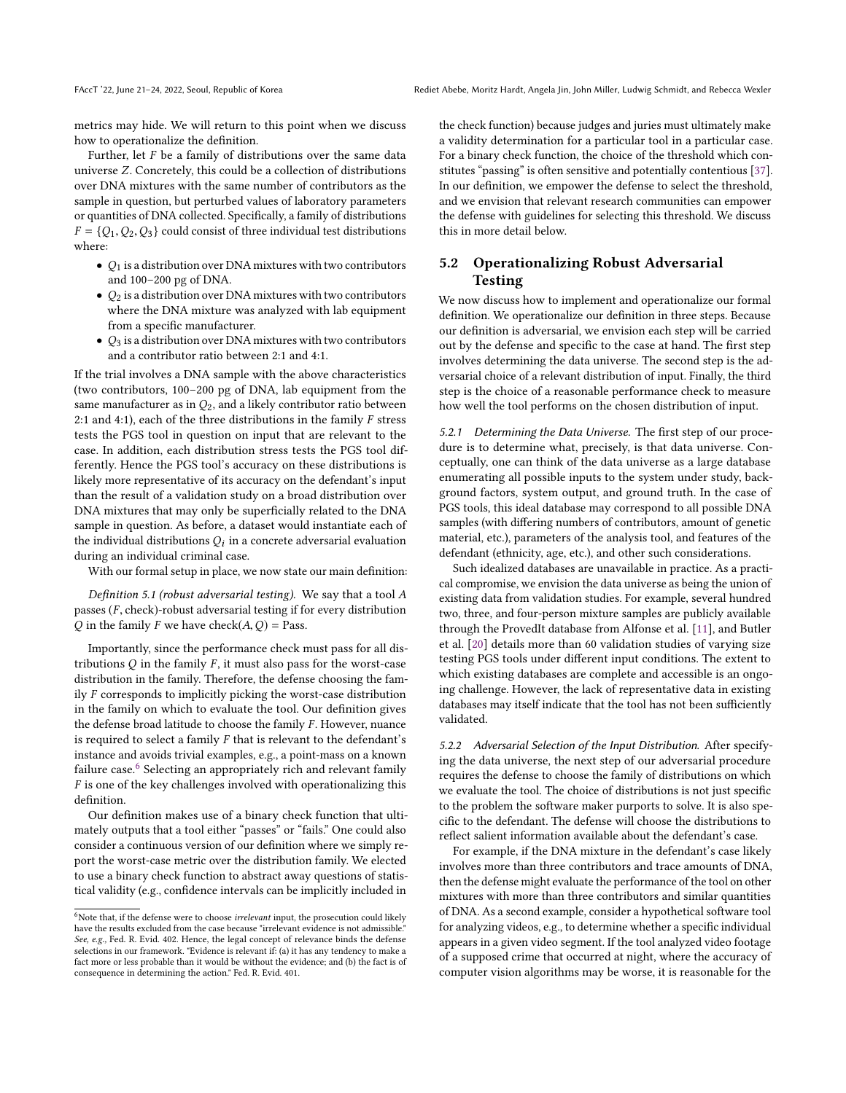metrics may hide. We will return to this point when we discuss how to operationalize the definition.

Further, let F be a family of distributions over the same data universe Z. Concretely, this could be a collection of distributions over DNA mixtures with the same number of contributors as the sample in question, but perturbed values of laboratory parameters or quantities of DNA collected. Specifically, a family of distributions  $F = \{Q_1, Q_2, Q_3\}$  could consist of three individual test distributions where:

- $Q_1$  is a distribution over DNA mixtures with two contributors and 100–200 pg of DNA.
- $Q_2$  is a distribution over DNA mixtures with two contributors where the DNA mixture was analyzed with lab equipment from a specific manufacturer.
- $\bullet$   $\,Q_3$  is a distribution over DNA mixtures with two contributors and a contributor ratio between 2:1 and 4:1.

If the trial involves a DNA sample with the above characteristics (two contributors, 100–200 pg of DNA, lab equipment from the same manufacturer as in  $Q_2$ , and a likely contributor ratio between 2:1 and 4:1), each of the three distributions in the family  $F$  stress tests the PGS tool in question on input that are relevant to the case. In addition, each distribution stress tests the PGS tool differently. Hence the PGS tool's accuracy on these distributions is likely more representative of its accuracy on the defendant's input than the result of a validation study on a broad distribution over DNA mixtures that may only be superficially related to the DNA sample in question. As before, a dataset would instantiate each of the individual distributions  $Q_i$  in a concrete adversarial evaluation during an individual criminal case.

With our formal setup in place, we now state our main definition:

Definition 5.1 (robust adversarial testing). We say that a tool A passes (F, check)-robust adversarial testing if for every distribution Q in the family F we have check $(A, Q)$  = Pass.

Importantly, since the performance check must pass for all distributions  $Q$  in the family  $F$ , it must also pass for the worst-case distribution in the family. Therefore, the defense choosing the family F corresponds to implicitly picking the worst-case distribution in the family on which to evaluate the tool. Our definition gives the defense broad latitude to choose the family  $F$ . However, nuance is required to select a family F that is relevant to the defendant's instance and avoids trivial examples, e.g., a point-mass on a known failure case.<sup>[6](#page-5-1)</sup> Selecting an appropriately rich and relevant family F is one of the key challenges involved with operationalizing this definition.

Our definition makes use of a binary check function that ultimately outputs that a tool either "passes" or "fails." One could also consider a continuous version of our definition where we simply report the worst-case metric over the distribution family. We elected to use a binary check function to abstract away questions of statistical validity (e.g., confidence intervals can be implicitly included in the check function) because judges and juries must ultimately make a validity determination for a particular tool in a particular case. For a binary check function, the choice of the threshold which constitutes "passing" is often sensitive and potentially contentious [\[37\]](#page-10-37). In our definition, we empower the defense to select the threshold, and we envision that relevant research communities can empower the defense with guidelines for selecting this threshold. We discuss this in more detail below.

# <span id="page-5-0"></span>5.2 Operationalizing Robust Adversarial Testing

We now discuss how to implement and operationalize our formal definition. We operationalize our definition in three steps. Because our definition is adversarial, we envision each step will be carried out by the defense and specific to the case at hand. The first step involves determining the data universe. The second step is the adversarial choice of a relevant distribution of input. Finally, the third step is the choice of a reasonable performance check to measure how well the tool performs on the chosen distribution of input.

5.2.1 Determining the Data Universe. The first step of our procedure is to determine what, precisely, is that data universe. Conceptually, one can think of the data universe as a large database enumerating all possible inputs to the system under study, background factors, system output, and ground truth. In the case of PGS tools, this ideal database may correspond to all possible DNA samples (with differing numbers of contributors, amount of genetic material, etc.), parameters of the analysis tool, and features of the defendant (ethnicity, age, etc.), and other such considerations.

Such idealized databases are unavailable in practice. As a practical compromise, we envision the data universe as being the union of existing data from validation studies. For example, several hundred two, three, and four-person mixture samples are publicly available through the ProvedIt database from Alfonse et al. [\[11\]](#page-9-19), and Butler et al. [\[20\]](#page-9-12) details more than 60 validation studies of varying size testing PGS tools under different input conditions. The extent to which existing databases are complete and accessible is an ongoing challenge. However, the lack of representative data in existing databases may itself indicate that the tool has not been sufficiently validated.

5.2.2 Adversarial Selection of the Input Distribution. After specifying the data universe, the next step of our adversarial procedure requires the defense to choose the family of distributions on which we evaluate the tool. The choice of distributions is not just specific to the problem the software maker purports to solve. It is also specific to the defendant. The defense will choose the distributions to reflect salient information available about the defendant's case.

For example, if the DNA mixture in the defendant's case likely involves more than three contributors and trace amounts of DNA, then the defense might evaluate the performance of the tool on other mixtures with more than three contributors and similar quantities of DNA. As a second example, consider a hypothetical software tool for analyzing videos, e.g., to determine whether a specific individual appears in a given video segment. If the tool analyzed video footage of a supposed crime that occurred at night, where the accuracy of computer vision algorithms may be worse, it is reasonable for the

<span id="page-5-1"></span> $6$ Note that, if the defense were to choose irrelevant input, the prosecution could likely have the results excluded from the case because "irrelevant evidence is not admissible." See, e.g., Fed. R. Evid. 402. Hence, the legal concept of relevance binds the defense selections in our framework. "Evidence is relevant if: (a) it has any tendency to make a fact more or less probable than it would be without the evidence; and (b) the fact is of consequence in determining the action." Fed. R. Evid. 401.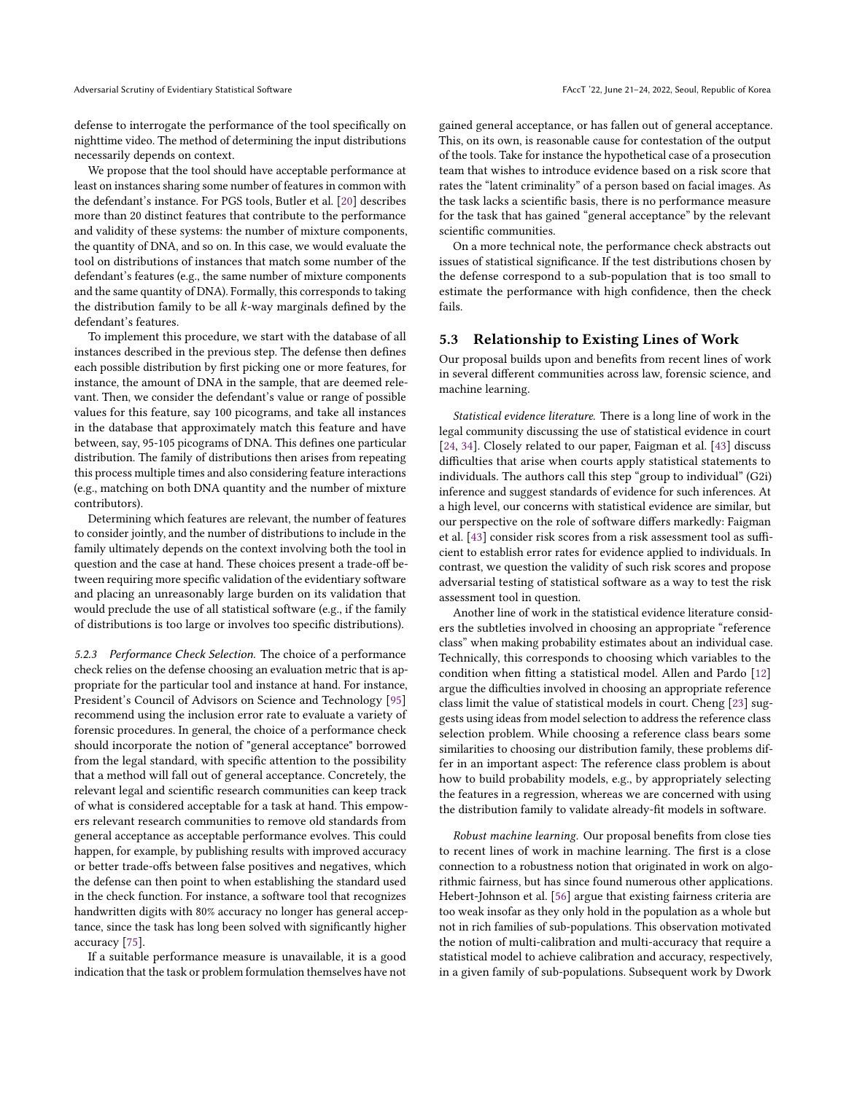defense to interrogate the performance of the tool specifically on nighttime video. The method of determining the input distributions necessarily depends on context.

We propose that the tool should have acceptable performance at least on instances sharing some number of features in common with the defendant's instance. For PGS tools, Butler et al. [\[20\]](#page-9-12) describes more than 20 distinct features that contribute to the performance and validity of these systems: the number of mixture components, the quantity of DNA, and so on. In this case, we would evaluate the tool on distributions of instances that match some number of the defendant's features (e.g., the same number of mixture components and the same quantity of DNA). Formally, this corresponds to taking the distribution family to be all  $k$ -way marginals defined by the defendant's features.

To implement this procedure, we start with the database of all instances described in the previous step. The defense then defines each possible distribution by first picking one or more features, for instance, the amount of DNA in the sample, that are deemed relevant. Then, we consider the defendant's value or range of possible values for this feature, say 100 picograms, and take all instances in the database that approximately match this feature and have between, say, 95-105 picograms of DNA. This defines one particular distribution. The family of distributions then arises from repeating this process multiple times and also considering feature interactions (e.g., matching on both DNA quantity and the number of mixture contributors).

Determining which features are relevant, the number of features to consider jointly, and the number of distributions to include in the family ultimately depends on the context involving both the tool in question and the case at hand. These choices present a trade-off between requiring more specific validation of the evidentiary software and placing an unreasonably large burden on its validation that would preclude the use of all statistical software (e.g., if the family of distributions is too large or involves too specific distributions).

5.2.3 Performance Check Selection. The choice of a performance check relies on the defense choosing an evaluation metric that is appropriate for the particular tool and instance at hand. For instance, President's Council of Advisors on Science and Technology [\[95\]](#page-11-15) recommend using the inclusion error rate to evaluate a variety of forensic procedures. In general, the choice of a performance check should incorporate the notion of "general acceptance" borrowed from the legal standard, with specific attention to the possibility that a method will fall out of general acceptance. Concretely, the relevant legal and scientific research communities can keep track of what is considered acceptable for a task at hand. This empowers relevant research communities to remove old standards from general acceptance as acceptable performance evolves. This could happen, for example, by publishing results with improved accuracy or better trade-offs between false positives and negatives, which the defense can then point to when establishing the standard used in the check function. For instance, a software tool that recognizes handwritten digits with 80% accuracy no longer has general acceptance, since the task has long been solved with significantly higher accuracy [\[75\]](#page-10-38).

If a suitable performance measure is unavailable, it is a good indication that the task or problem formulation themselves have not gained general acceptance, or has fallen out of general acceptance. This, on its own, is reasonable cause for contestation of the output of the tools. Take for instance the hypothetical case of a prosecution team that wishes to introduce evidence based on a risk score that rates the "latent criminality" of a person based on facial images. As the task lacks a scientific basis, there is no performance measure for the task that has gained "general acceptance" by the relevant scientific communities.

On a more technical note, the performance check abstracts out issues of statistical significance. If the test distributions chosen by the defense correspond to a sub-population that is too small to estimate the performance with high confidence, then the check fails.

#### 5.3 Relationship to Existing Lines of Work

Our proposal builds upon and benefits from recent lines of work in several different communities across law, forensic science, and machine learning.

Statistical evidence literature. There is a long line of work in the legal community discussing the use of statistical evidence in court [\[24,](#page-9-20) [34\]](#page-10-39). Closely related to our paper, Faigman et al. [\[43\]](#page-10-40) discuss difficulties that arise when courts apply statistical statements to individuals. The authors call this step "group to individual" (G2i) inference and suggest standards of evidence for such inferences. At a high level, our concerns with statistical evidence are similar, but our perspective on the role of software differs markedly: Faigman et al. [\[43\]](#page-10-40) consider risk scores from a risk assessment tool as sufficient to establish error rates for evidence applied to individuals. In contrast, we question the validity of such risk scores and propose adversarial testing of statistical software as a way to test the risk assessment tool in question.

Another line of work in the statistical evidence literature considers the subtleties involved in choosing an appropriate "reference class" when making probability estimates about an individual case. Technically, this corresponds to choosing which variables to the condition when fitting a statistical model. Allen and Pardo [\[12\]](#page-9-21) argue the difficulties involved in choosing an appropriate reference class limit the value of statistical models in court. Cheng [\[23\]](#page-9-22) suggests using ideas from model selection to address the reference class selection problem. While choosing a reference class bears some similarities to choosing our distribution family, these problems differ in an important aspect: The reference class problem is about how to build probability models, e.g., by appropriately selecting the features in a regression, whereas we are concerned with using the distribution family to validate already-fit models in software.

Robust machine learning. Our proposal benefits from close ties to recent lines of work in machine learning. The first is a close connection to a robustness notion that originated in work on algorithmic fairness, but has since found numerous other applications. Hebert-Johnson et al. [\[56\]](#page-10-36) argue that existing fairness criteria are too weak insofar as they only hold in the population as a whole but not in rich families of sub-populations. This observation motivated the notion of multi-calibration and multi-accuracy that require a statistical model to achieve calibration and accuracy, respectively, in a given family of sub-populations. Subsequent work by Dwork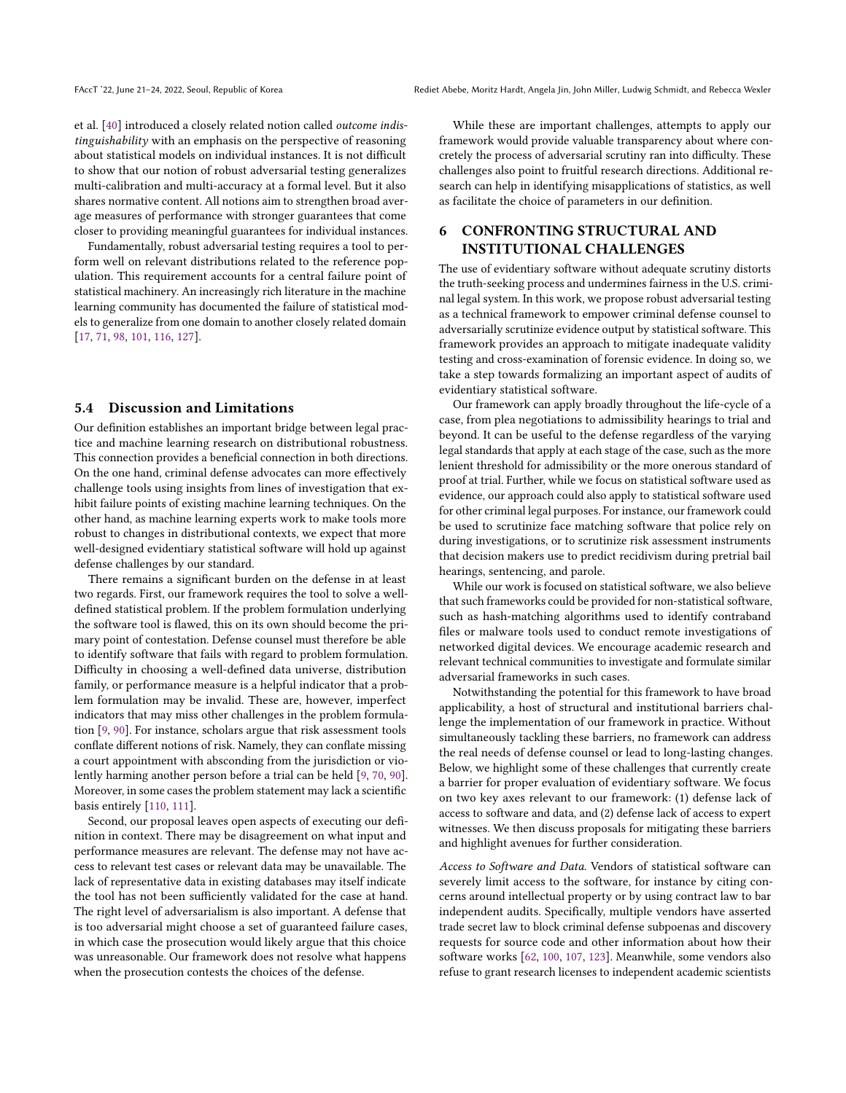et al. [\[40\]](#page-10-35) introduced a closely related notion called outcome indistinguishability with an emphasis on the perspective of reasoning about statistical models on individual instances. It is not difficult to show that our notion of robust adversarial testing generalizes multi-calibration and multi-accuracy at a formal level. But it also shares normative content. All notions aim to strengthen broad average measures of performance with stronger guarantees that come closer to providing meaningful guarantees for individual instances.

Fundamentally, robust adversarial testing requires a tool to perform well on relevant distributions related to the reference population. This requirement accounts for a central failure point of statistical machinery. An increasingly rich literature in the machine learning community has documented the failure of statistical models to generalize from one domain to another closely related domain [\[17,](#page-9-18) [71,](#page-10-41) [98,](#page-11-22) [101,](#page-11-20) [116,](#page-11-24) [127\]](#page-11-21).

## 5.4 Discussion and Limitations

Our definition establishes an important bridge between legal practice and machine learning research on distributional robustness. This connection provides a beneficial connection in both directions. On the one hand, criminal defense advocates can more effectively challenge tools using insights from lines of investigation that exhibit failure points of existing machine learning techniques. On the other hand, as machine learning experts work to make tools more robust to changes in distributional contexts, we expect that more well-designed evidentiary statistical software will hold up against defense challenges by our standard.

There remains a significant burden on the defense in at least two regards. First, our framework requires the tool to solve a welldefined statistical problem. If the problem formulation underlying the software tool is flawed, this on its own should become the primary point of contestation. Defense counsel must therefore be able to identify software that fails with regard to problem formulation. Difficulty in choosing a well-defined data universe, distribution family, or performance measure is a helpful indicator that a problem formulation may be invalid. These are, however, imperfect indicators that may miss other challenges in the problem formulation [\[9,](#page-9-23) [90\]](#page-11-25). For instance, scholars argue that risk assessment tools conflate different notions of risk. Namely, they can conflate missing a court appointment with absconding from the jurisdiction or violently harming another person before a trial can be held [\[9,](#page-9-23) [70,](#page-10-7) [90\]](#page-11-25). Moreover, in some cases the problem statement may lack a scientific basis entirely [\[110,](#page-11-26) [111\]](#page-11-27).

Second, our proposal leaves open aspects of executing our definition in context. There may be disagreement on what input and performance measures are relevant. The defense may not have access to relevant test cases or relevant data may be unavailable. The lack of representative data in existing databases may itself indicate the tool has not been sufficiently validated for the case at hand. The right level of adversarialism is also important. A defense that is too adversarial might choose a set of guaranteed failure cases, in which case the prosecution would likely argue that this choice was unreasonable. Our framework does not resolve what happens when the prosecution contests the choices of the defense.

While these are important challenges, attempts to apply our framework would provide valuable transparency about where concretely the process of adversarial scrutiny ran into difficulty. These challenges also point to fruitful research directions. Additional research can help in identifying misapplications of statistics, as well as facilitate the choice of parameters in our definition.

## <span id="page-7-0"></span>6 CONFRONTING STRUCTURAL AND INSTITUTIONAL CHALLENGES

The use of evidentiary software without adequate scrutiny distorts the truth-seeking process and undermines fairness in the U.S. criminal legal system. In this work, we propose robust adversarial testing as a technical framework to empower criminal defense counsel to adversarially scrutinize evidence output by statistical software. This framework provides an approach to mitigate inadequate validity testing and cross-examination of forensic evidence. In doing so, we take a step towards formalizing an important aspect of audits of evidentiary statistical software.

Our framework can apply broadly throughout the life-cycle of a case, from plea negotiations to admissibility hearings to trial and beyond. It can be useful to the defense regardless of the varying legal standards that apply at each stage of the case, such as the more lenient threshold for admissibility or the more onerous standard of proof at trial. Further, while we focus on statistical software used as evidence, our approach could also apply to statistical software used for other criminal legal purposes. For instance, our framework could be used to scrutinize face matching software that police rely on during investigations, or to scrutinize risk assessment instruments that decision makers use to predict recidivism during pretrial bail hearings, sentencing, and parole.

While our work is focused on statistical software, we also believe that such frameworks could be provided for non-statistical software, such as hash-matching algorithms used to identify contraband files or malware tools used to conduct remote investigations of networked digital devices. We encourage academic research and relevant technical communities to investigate and formulate similar adversarial frameworks in such cases.

Notwithstanding the potential for this framework to have broad applicability, a host of structural and institutional barriers challenge the implementation of our framework in practice. Without simultaneously tackling these barriers, no framework can address the real needs of defense counsel or lead to long-lasting changes. Below, we highlight some of these challenges that currently create a barrier for proper evaluation of evidentiary software. We focus on two key axes relevant to our framework: (1) defense lack of access to software and data, and (2) defense lack of access to expert witnesses. We then discuss proposals for mitigating these barriers and highlight avenues for further consideration.

Access to Software and Data. Vendors of statistical software can severely limit access to the software, for instance by citing concerns around intellectual property or by using contract law to bar independent audits. Specifically, multiple vendors have asserted trade secret law to block criminal defense subpoenas and discovery requests for source code and other information about how their software works [\[62,](#page-10-42) [100,](#page-11-28) [107,](#page-11-29) [123\]](#page-11-30). Meanwhile, some vendors also refuse to grant research licenses to independent academic scientists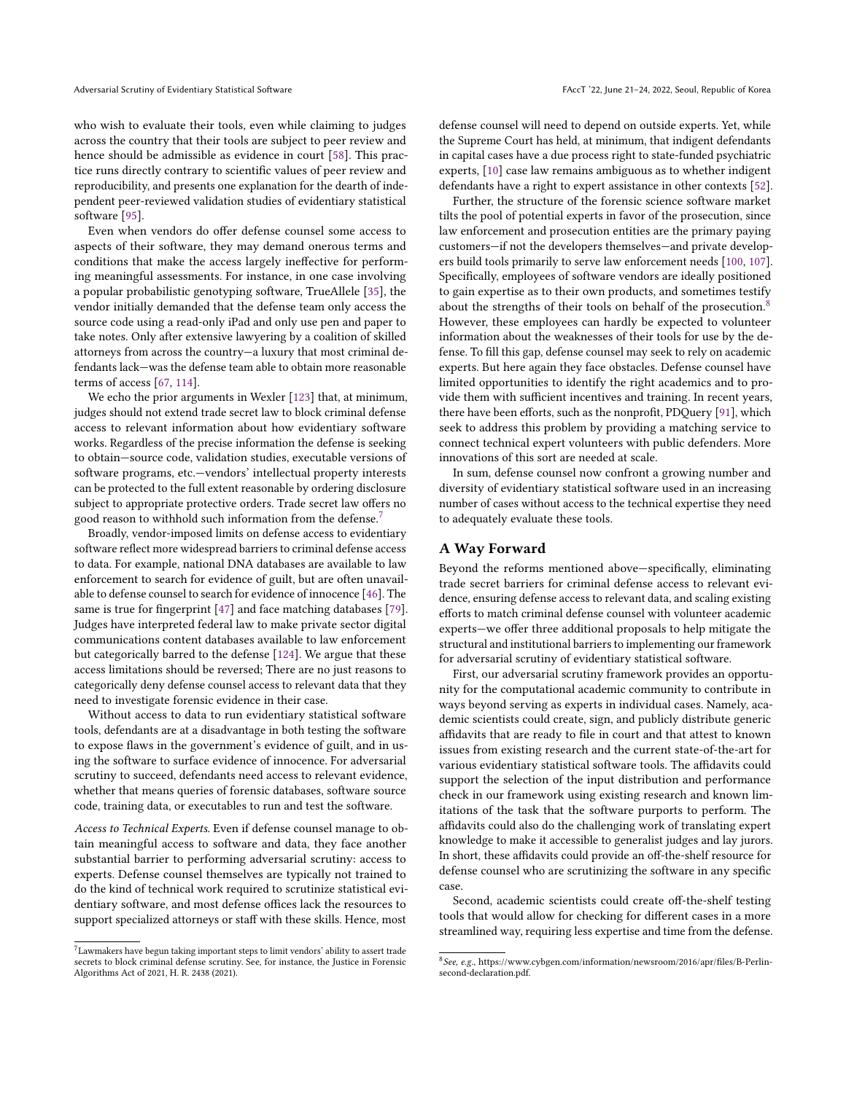who wish to evaluate their tools, even while claiming to judges across the country that their tools are subject to peer review and hence should be admissible as evidence in court [\[58\]](#page-10-43). This practice runs directly contrary to scientific values of peer review and reproducibility, and presents one explanation for the dearth of independent peer-reviewed validation studies of evidentiary statistical software [\[95\]](#page-11-15).

Even when vendors do offer defense counsel some access to aspects of their software, they may demand onerous terms and conditions that make the access largely ineffective for performing meaningful assessments. For instance, in one case involving a popular probabilistic genotyping software, TrueAllele [\[35\]](#page-10-44), the vendor initially demanded that the defense team only access the source code using a read-only iPad and only use pen and paper to take notes. Only after extensive lawyering by a coalition of skilled attorneys from across the country—a luxury that most criminal defendants lack—was the defense team able to obtain more reasonable terms of access [\[67,](#page-10-45) [114\]](#page-11-13).

We echo the prior arguments in Wexler [\[123\]](#page-11-30) that, at minimum, judges should not extend trade secret law to block criminal defense access to relevant information about how evidentiary software works. Regardless of the precise information the defense is seeking to obtain—source code, validation studies, executable versions of software programs, etc.—vendors' intellectual property interests can be protected to the full extent reasonable by ordering disclosure subject to appropriate protective orders. Trade secret law offers no good reason to withhold such information from the defense.<sup>[7](#page-8-0)</sup>

Broadly, vendor-imposed limits on defense access to evidentiary software reflect more widespread barriers to criminal defense access to data. For example, national DNA databases are available to law enforcement to search for evidence of guilt, but are often unavailable to defense counsel to search for evidence of innocence [\[46\]](#page-10-46). The same is true for fingerprint [\[47\]](#page-10-47) and face matching databases [\[79\]](#page-10-48). Judges have interpreted federal law to make private sector digital communications content databases available to law enforcement but categorically barred to the defense [\[124\]](#page-11-31). We argue that these access limitations should be reversed; There are no just reasons to categorically deny defense counsel access to relevant data that they need to investigate forensic evidence in their case.

Without access to data to run evidentiary statistical software tools, defendants are at a disadvantage in both testing the software to expose flaws in the government's evidence of guilt, and in using the software to surface evidence of innocence. For adversarial scrutiny to succeed, defendants need access to relevant evidence, whether that means queries of forensic databases, software source code, training data, or executables to run and test the software.

Access to Technical Experts. Even if defense counsel manage to obtain meaningful access to software and data, they face another substantial barrier to performing adversarial scrutiny: access to experts. Defense counsel themselves are typically not trained to do the kind of technical work required to scrutinize statistical evidentiary software, and most defense offices lack the resources to support specialized attorneys or staff with these skills. Hence, most

defense counsel will need to depend on outside experts. Yet, while the Supreme Court has held, at minimum, that indigent defendants in capital cases have a due process right to state-funded psychiatric experts, [\[10\]](#page-9-24) case law remains ambiguous as to whether indigent defendants have a right to expert assistance in other contexts [\[52\]](#page-10-49).

Further, the structure of the forensic science software market tilts the pool of potential experts in favor of the prosecution, since law enforcement and prosecution entities are the primary paying customers—if not the developers themselves—and private developers build tools primarily to serve law enforcement needs [\[100,](#page-11-28) [107\]](#page-11-29). Specifically, employees of software vendors are ideally positioned to gain expertise as to their own products, and sometimes testify about the strengths of their tools on behalf of the prosecution.<sup>[8](#page-8-1)</sup> However, these employees can hardly be expected to volunteer information about the weaknesses of their tools for use by the defense. To fill this gap, defense counsel may seek to rely on academic experts. But here again they face obstacles. Defense counsel have limited opportunities to identify the right academics and to provide them with sufficient incentives and training. In recent years, there have been efforts, such as the nonprofit, PDQuery [\[91\]](#page-11-32), which seek to address this problem by providing a matching service to connect technical expert volunteers with public defenders. More innovations of this sort are needed at scale.

In sum, defense counsel now confront a growing number and diversity of evidentiary statistical software used in an increasing number of cases without access to the technical expertise they need to adequately evaluate these tools.

#### A Way Forward

Beyond the reforms mentioned above—specifically, eliminating trade secret barriers for criminal defense access to relevant evidence, ensuring defense access to relevant data, and scaling existing efforts to match criminal defense counsel with volunteer academic experts—we offer three additional proposals to help mitigate the structural and institutional barriers to implementing our framework for adversarial scrutiny of evidentiary statistical software.

First, our adversarial scrutiny framework provides an opportunity for the computational academic community to contribute in ways beyond serving as experts in individual cases. Namely, academic scientists could create, sign, and publicly distribute generic affidavits that are ready to file in court and that attest to known issues from existing research and the current state-of-the-art for various evidentiary statistical software tools. The affidavits could support the selection of the input distribution and performance check in our framework using existing research and known limitations of the task that the software purports to perform. The affidavits could also do the challenging work of translating expert knowledge to make it accessible to generalist judges and lay jurors. In short, these affidavits could provide an off-the-shelf resource for defense counsel who are scrutinizing the software in any specific case.

Second, academic scientists could create off-the-shelf testing tools that would allow for checking for different cases in a more streamlined way, requiring less expertise and time from the defense.

<span id="page-8-0"></span> ${\rm ^7L}$  awmakers have begun taking important steps to limit vendors' ability to assert trade secrets to block criminal defense scrutiny. See, for instance, the Justice in Forensic Algorithms Act of 2021, H. R. 2438 (2021).

<span id="page-8-1"></span><sup>8</sup> See, e.g., https://www.cybgen.com/information/newsroom/2016/apr/files/B-Perlinsecond-declaration.pdf.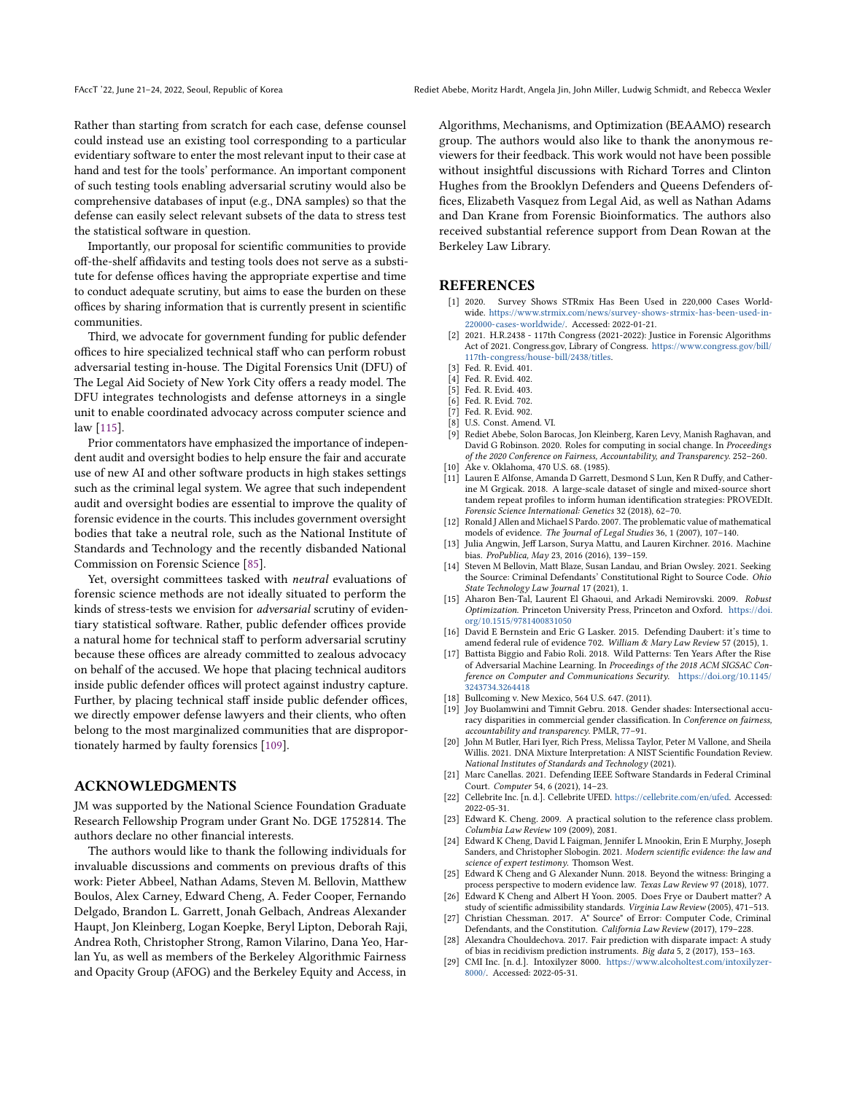Rather than starting from scratch for each case, defense counsel could instead use an existing tool corresponding to a particular evidentiary software to enter the most relevant input to their case at hand and test for the tools' performance. An important component of such testing tools enabling adversarial scrutiny would also be comprehensive databases of input (e.g., DNA samples) so that the defense can easily select relevant subsets of the data to stress test the statistical software in question.

Importantly, our proposal for scientific communities to provide off-the-shelf affidavits and testing tools does not serve as a substitute for defense offices having the appropriate expertise and time to conduct adequate scrutiny, but aims to ease the burden on these offices by sharing information that is currently present in scientific communities.

Third, we advocate for government funding for public defender offices to hire specialized technical staff who can perform robust adversarial testing in-house. The Digital Forensics Unit (DFU) of The Legal Aid Society of New York City offers a ready model. The DFU integrates technologists and defense attorneys in a single unit to enable coordinated advocacy across computer science and law [\[115\]](#page-11-33).

Prior commentators have emphasized the importance of independent audit and oversight bodies to help ensure the fair and accurate use of new AI and other software products in high stakes settings such as the criminal legal system. We agree that such independent audit and oversight bodies are essential to improve the quality of forensic evidence in the courts. This includes government oversight bodies that take a neutral role, such as the National Institute of Standards and Technology and the recently disbanded National Commission on Forensic Science [\[85\]](#page-10-50).

Yet, oversight committees tasked with neutral evaluations of forensic science methods are not ideally situated to perform the kinds of stress-tests we envision for adversarial scrutiny of evidentiary statistical software. Rather, public defender offices provide a natural home for technical staff to perform adversarial scrutiny because these offices are already committed to zealous advocacy on behalf of the accused. We hope that placing technical auditors inside public defender offices will protect against industry capture. Further, by placing technical staff inside public defender offices, we directly empower defense lawyers and their clients, who often belong to the most marginalized communities that are disproportionately harmed by faulty forensics [\[109\]](#page-11-9).

#### ACKNOWLEDGMENTS

JM was supported by the National Science Foundation Graduate Research Fellowship Program under Grant No. DGE 1752814. The authors declare no other financial interests.

The authors would like to thank the following individuals for invaluable discussions and comments on previous drafts of this work: Pieter Abbeel, Nathan Adams, Steven M. Bellovin, Matthew Boulos, Alex Carney, Edward Cheng, A. Feder Cooper, Fernando Delgado, Brandon L. Garrett, Jonah Gelbach, Andreas Alexander Haupt, Jon Kleinberg, Logan Koepke, Beryl Lipton, Deborah Raji, Andrea Roth, Christopher Strong, Ramon Vilarino, Dana Yeo, Harlan Yu, as well as members of the Berkeley Algorithmic Fairness and Opacity Group (AFOG) and the Berkeley Equity and Access, in

Algorithms, Mechanisms, and Optimization (BEAAMO) research group. The authors would also like to thank the anonymous reviewers for their feedback. This work would not have been possible without insightful discussions with Richard Torres and Clinton Hughes from the Brooklyn Defenders and Queens Defenders offices, Elizabeth Vasquez from Legal Aid, as well as Nathan Adams and Dan Krane from Forensic Bioinformatics. The authors also received substantial reference support from Dean Rowan at the Berkeley Law Library.

#### REFERENCES

- <span id="page-9-11"></span>[1] 2020. Survey Shows STRmix Has Been Used in 220,000 Cases Worldwide. [https://www.strmix.com/news/survey-shows-strmix-has-been-used-in-](https://www.strmix.com/news/survey-shows-strmix-has-been-used-in-220000-cases-worldwide/)[220000-cases-worldwide/.](https://www.strmix.com/news/survey-shows-strmix-has-been-used-in-220000-cases-worldwide/) Accessed: 2022-01-21.
- <span id="page-9-16"></span>[2] 2021. H.R.2438 - 117th Congress (2021-2022): Justice in Forensic Algorithms Act of 2021. Congress.gov, Library of Congress. [https://www.congress.gov/bill/](https://www.congress.gov/bill/117th-congress/house-bill/2438/titles) [117th-congress/house-bill/2438/titles.](https://www.congress.gov/bill/117th-congress/house-bill/2438/titles)
- <span id="page-9-25"></span>[3] Fed. R. Evid. 401.
- <span id="page-9-4"></span>[4] Fed. R. Evid. 402.
- <span id="page-9-5"></span>[5] Fed. R. Evid. 403.
- <span id="page-9-6"></span>[6] Fed. R. Evid. 702.
- <span id="page-9-26"></span>[7] Fed. R. Evid. 902. [8] U.S. Const. Amend. VI.
- <span id="page-9-23"></span><span id="page-9-0"></span>
- Rediet Abebe, Solon Barocas, Jon Kleinberg, Karen Levy, Manish Raghavan, and David G Robinson. 2020. Roles for computing in social change. In Proceedings of the 2020 Conference on Fairness, Accountability, and Transparency. 252–260. [10] Ake v. Oklahoma, 470 U.S. 68. (1985).
- <span id="page-9-24"></span><span id="page-9-19"></span>
- [11] Lauren E Alfonse, Amanda D Garrett, Desmond S Lun, Ken R Duffy, and Catherine M Grgicak. 2018. A large-scale dataset of single and mixed-source short tandem repeat profiles to inform human identification strategies: PROVEDIt. Forensic Science International: Genetics 32 (2018), 62–70.
- <span id="page-9-21"></span>[12] Ronald J Allen and Michael S Pardo. 2007. The problematic value of mathematical models of evidence. The Journal of Legal Studies 36, 1 (2007), 107–140.
- <span id="page-9-1"></span>[13] Julia Angwin, Jeff Larson, Surya Mattu, and Lauren Kirchner. 2016. Machine bias. ProPublica, May 23, 2016 (2016), 139–159.
- <span id="page-9-13"></span>[14] Steven M Bellovin, Matt Blaze, Susan Landau, and Brian Owsley. 2021. Seeking the Source: Criminal Defendants' Constitutional Right to Source Code. Ohio State Technology Law Journal 17 (2021), 1.
- <span id="page-9-17"></span>[15] Aharon Ben-Tal, Laurent El Ghaoui, and Arkadi Nemirovski. 2009. Robust Optimization. Princeton University Press, Princeton and Oxford. [https://doi.](https://doi.org/10.1515/9781400831050) [org/10.1515/9781400831050](https://doi.org/10.1515/9781400831050)
- <span id="page-9-8"></span>[16] David E Bernstein and Eric G Lasker. 2015. Defending Daubert: it's time to amend federal rule of evidence 702. William & Mary Law Review 57 (2015), 1.
- <span id="page-9-18"></span>[17] Battista Biggio and Fabio Roli. 2018. Wild Patterns: Ten Years After the Rise of Adversarial Machine Learning. In Proceedings of the 2018 ACM SIGSAC Conference on Computer and Communications Security. [https://doi.org/10.1145/](https://doi.org/10.1145/3243734.3264418) [3243734.3264418](https://doi.org/10.1145/3243734.3264418)
- <span id="page-9-9"></span>[18] Bullcoming v. New Mexico, 564 U.S. 647. (2011).
- <span id="page-9-2"></span>[19] Joy Buolamwini and Timnit Gebru. 2018. Gender shades: Intersectional accuracy disparities in commercial gender classification. In Conference on fairness, accountability and transparency. PMLR, 77–91.
- <span id="page-9-12"></span>[20] John M Butler, Hari Iyer, Rich Press, Melissa Taylor, Peter M Vallone, and Sheila Willis. 2021. DNA Mixture Interpretation: A NIST Scientific Foundation Review. National Institutes of Standards and Technology (2021).
- <span id="page-9-15"></span>[21] Marc Canellas. 2021. Defending IEEE Software Standards in Federal Criminal Court. Computer 54, 6 (2021), 14–23.
- <span id="page-9-28"></span>[22] Cellebrite Inc. [n. d.]. Cellebrite UFED. [https://cellebrite.com/en/ufed.](https://cellebrite.com/en/ufed) Accessed: 2022-05-31.
- <span id="page-9-22"></span>[23] Edward K. Cheng. 2009. A practical solution to the reference class problem. Columbia Law Review 109 (2009), 2081.
- <span id="page-9-20"></span>[24] Edward K Cheng, David L Faigman, Jennifer L Mnookin, Erin E Murphy, Joseph Sanders, and Christopher Slobogin. 2021. Modern scientific evidence: the law and science of expert testimony. Thomson West.
- <span id="page-9-10"></span>[25] Edward K Cheng and G Alexander Nunn. 2018. Beyond the witness: Bringing a process perspective to modern evidence law. Texas Law Review 97 (2018), 1077.
- <span id="page-9-7"></span>[26] Edward K Cheng and Albert H Yoon. 2005. Does Frye or Daubert matter? A study of scientific admissibility standards. Virginia Law Review (2005), 471–513.
- <span id="page-9-14"></span>[27] Christian Chessman. 2017. A" Source" of Error: Computer Code, Criminal Defendants, and the Constitution. California Law Review (2017), 179–228.
- <span id="page-9-3"></span>[28] Alexandra Chouldechova. 2017. Fair prediction with disparate impact: A study of bias in recidivism prediction instruments. Big data 5, 2 (2017), 153–163.
- <span id="page-9-27"></span>[29] CMI Inc. [n. d.]. Intoxilyzer 8000. [https://www.alcoholtest.com/intoxilyzer-](https://www.alcoholtest.com/intoxilyzer-8000/)[8000/.](https://www.alcoholtest.com/intoxilyzer-8000/) Accessed: 2022-05-31.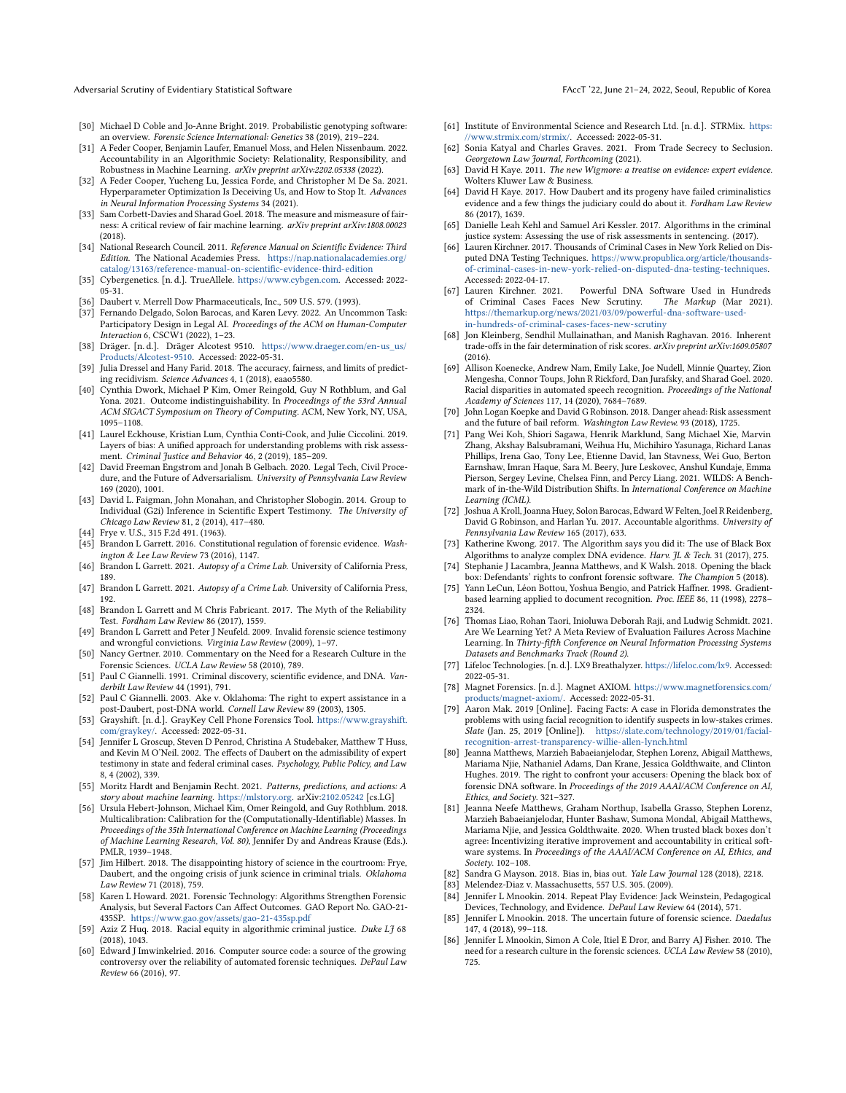Adversarial Scrutiny of Evidentiary Statistical Software FACCT (22, June 21–24, 2022, Seoul, Republic of Korea

- <span id="page-10-21"></span>[30] Michael D Coble and Jo-Anne Bright. 2019. Probabilistic genotyping software: an overview. Forensic Science International: Genetics 38 (2019), 219–224.
- <span id="page-10-34"></span>[31] A Feder Cooper, Benjamin Laufer, Emanuel Moss, and Helen Nissenbaum. 2022. Accountability in an Algorithmic Society: Relationality, Responsibility, and Robustness in Machine Learning. arXiv preprint arXiv:2202.05338 (2022).
- <span id="page-10-31"></span>[32] A Feder Cooper, Yucheng Lu, Jessica Forde, and Christopher M De Sa. 2021. Hyperparameter Optimization Is Deceiving Us, and How to Stop It. Advances in Neural Information Processing Systems 34 (2021).
- <span id="page-10-1"></span>[33] Sam Corbett-Davies and Sharad Goel. 2018. The measure and mismeasure of fairness: A critical review of fair machine learning. arXiv preprint arXiv:1808.00023 (2018).
- <span id="page-10-39"></span>[34] National Research Council. 2011. Reference Manual on Scientific Evidence: Third Edition. The National Academies Press. [https://nap.nationalacademies.org/](https://nap.nationalacademies.org/catalog/13163/reference-manual-on-scientific-evidence-third-edition) [catalog/13163/reference-manual-on-scientific-evidence-third-edition](https://nap.nationalacademies.org/catalog/13163/reference-manual-on-scientific-evidence-third-edition)
- <span id="page-10-44"></span>[35] Cybergenetics. [n. d.]. TrueAllele. [https://www.cybgen.com.](https://www.cybgen.com) Accessed: 2022- 05-31.
- <span id="page-10-12"></span>[36] Daubert v. Merrell Dow Pharmaceuticals, Inc., 509 U.S. 579. (1993).
- <span id="page-10-37"></span>[37] Fernando Delgado, Solon Barocas, and Karen Levy. 2022. An Uncommon Task: Participatory Design in Legal AI. Proceedings of the ACM on Human-Computer Interaction 6, CSCW1 (2022), 1–23.
- <span id="page-10-52"></span>[38] Dräger. [n. d.]. Dräger Alcotest 9510. [https://www.draeger.com/en-us\\_us/](https://www.draeger.com/en-us_us/Products/Alcotest-9510) [Products/Alcotest-9510.](https://www.draeger.com/en-us_us/Products/Alcotest-9510) Accessed: 2022-05-31.
- <span id="page-10-2"></span>[39] Julia Dressel and Hany Farid. 2018. The accuracy, fairness, and limits of predicting recidivism. Science Advances 4, 1 (2018), eaao5580.
- <span id="page-10-35"></span>[40] Cynthia Dwork, Michael P Kim, Omer Reingold, Guy N Rothblum, and Gal Yona. 2021. Outcome indistinguishability. In Proceedings of the 53rd Annual ACM SIGACT Symposium on Theory of Computing. ACM, New York, NY, USA, 1095–1108.
- <span id="page-10-3"></span>[41] Laurel Eckhouse, Kristian Lum, Cynthia Conti-Cook, and Julie Ciccolini. 2019. Layers of bias: A unified approach for understanding problems with risk assessment. Criminal Justice and Behavior 46, 2 (2019), 185–209.
- <span id="page-10-0"></span>[42] David Freeman Engstrom and Jonah B Gelbach. 2020. Legal Tech, Civil Procedure, and the Future of Adversarialism. University of Pennsylvania Law Review 169 (2020), 1001.
- <span id="page-10-40"></span>[43] David L. Faigman, John Monahan, and Christopher Slobogin. 2014. Group to Individual (G2i) Inference in Scientific Expert Testimony. The University of Chicago Law Review 81, 2 (2014), 417–480.
- <span id="page-10-13"></span>[44] Frye v. U.S., 315 F.2d 491. (1963).
- <span id="page-10-10"></span>[45] Brandon L Garrett. 2016. Constitutional regulation of forensic evidence. Washington & Lee Law Review 73 (2016), 1147. [46] Brandon L Garrett. 2021. Autopsy of a Crime Lab. University of California Press,
- <span id="page-10-46"></span>189.
- <span id="page-10-47"></span>[47] Brandon L Garrett. 2021. Autopsy of a Crime Lab. University of California Press, 192.
- <span id="page-10-14"></span>[48] Brandon L Garrett and M Chris Fabricant. 2017. The Myth of the Reliability Test. Fordham Law Review 86 (2017), 1559.
- <span id="page-10-9"></span>[49] Brandon L Garrett and Peter J Neufeld. 2009. Invalid forensic science testimony and wrongful convictions. Virginia Law Review (2009), 1–97.
- <span id="page-10-15"></span>[50] Nancy Gertner. 2010. Commentary on the Need for a Research Culture in the Forensic Sciences. UCLA Law Review 58 (2010), 789.
- <span id="page-10-11"></span>[51] Paul C Giannelli. 1991. Criminal discovery, scientific evidence, and DNA. Vanderbilt Law Review 44 (1991), 791.
- <span id="page-10-49"></span>[52] Paul C Giannelli. 2003. Ake v. Oklahoma: The right to expert assistance in a post-Daubert, post-DNA world. Cornell Law Review 89 (2003), 1305.
- <span id="page-10-54"></span>[53] Grayshift. [n. d.]. GrayKey Cell Phone Forensics Tool. [https://www.grayshift.](https://www.grayshift.com/graykey/) [com/graykey/.](https://www.grayshift.com/graykey/) Accessed: 2022-05-31.
- <span id="page-10-16"></span>[54] Jennifer L Groscup, Steven D Penrod, Christina A Studebaker, Matthew T Huss, and Kevin M O'Neil. 2002. The effects of Daubert on the admissibility of expert testimony in state and federal criminal cases. Psychology, Public Policy, and Law 8, 4 (2002), 339.
- <span id="page-10-22"></span>[55] Moritz Hardt and Benjamin Recht. 2021. Patterns, predictions, and actions: A story about machine learning. [https://mlstory.org.](https://mlstory.org) arXiv[:2102.05242](https://arxiv.org/abs/2102.05242) [cs.LG]
- <span id="page-10-36"></span>[56] Ursula Hebert-Johnson, Michael Kim, Omer Reingold, and Guy Rothblum. 2018. Multicalibration: Calibration for the (Computationally-Identifiable) Masses. In Proceedings of the 35th International Conference on Machine Learning (Proceedings of Machine Learning Research, Vol. 80), Jennifer Dy and Andreas Krause (Eds.). PMLR, 1939–1948.
- <span id="page-10-17"></span>[57] Jim Hilbert. 2018. The disappointing history of science in the courtroom: Frye, Daubert, and the ongoing crisis of junk science in criminal trials. Oklahoma Law Review 71 (2018), 759.
- <span id="page-10-43"></span>[58] Karen L Howard. 2021. Forensic Technology: Algorithms Strengthen Forensic Analysis, but Several Factors Can Affect Outcomes. GAO Report No. GAO-21- 435SP. <https://www.gao.gov/assets/gao-21-435sp.pdf>
- <span id="page-10-4"></span>[59] Aziz Z Huq. 2018. Racial equity in algorithmic criminal justice. Duke LJ 68 (2018), 1043.
- <span id="page-10-25"></span>[60] Edward J Imwinkelried. 2016. Computer source code: a source of the growing controversy over the reliability of automated forensic techniques. DePaul Law Review 66 (2016), 97.
- <span id="page-10-56"></span>[61] Institute of Environmental Science and Research Ltd. [n. d.]. STRMix. [https:](https://www.strmix.com/strmix/) [//www.strmix.com/strmix/.](https://www.strmix.com/strmix/) Accessed: 2022-05-31.
- <span id="page-10-42"></span>[62] Sonia Katyal and Charles Graves. 2021. From Trade Secrecy to Seclusion. Georgetown Law Journal, Forthcoming (2021).
- <span id="page-10-27"></span>[63] David H Kaye. 2011. The new Wigmore: a treatise on evidence: expert evidence. Wolters Kluwer Law & Business.
- <span id="page-10-18"></span>[64] David H Kaye. 2017. How Daubert and its progeny have failed criminalistics evidence and a few things the judiciary could do about it. Fordham Law Review 86 (2017), 1639.
- <span id="page-10-5"></span>[65] Danielle Leah Kehl and Samuel Ari Kessler. 2017. Algorithms in the criminal justice system: Assessing the use of risk assessments in sentencing. (2017).
- <span id="page-10-20"></span>[66] Lauren Kirchner. 2017. Thousands of Criminal Cases in New York Relied on Disputed DNA Testing Techniques. [https://www.propublica.org/article/thousands](https://www.propublica.org/article/thousands-of-criminal-cases-in-new-york-relied-on-disputed-dna-testing-techniques)[of-criminal-cases-in-new-york-relied-on-disputed-dna-testing-techniques.](https://www.propublica.org/article/thousands-of-criminal-cases-in-new-york-relied-on-disputed-dna-testing-techniques) Accessed: 2022-04-17.
- <span id="page-10-45"></span>[67] Lauren Kirchner. 2021. Powerful DNA Software Used in Hundreds of Criminal Cases Faces New Scrutiny. The Markup (Mar 2021). of Criminal Cases Faces New Scrutiny. [https://themarkup.org/news/2021/03/09/powerful-dna-software-used](https://themarkup.org/news/2021/03/09/powerful-dna-software-used-in-hundreds-of-criminal-cases-faces-new-scrutiny)[in-hundreds-of-criminal-cases-faces-new-scrutiny](https://themarkup.org/news/2021/03/09/powerful-dna-software-used-in-hundreds-of-criminal-cases-faces-new-scrutiny)
- <span id="page-10-6"></span>[68] Jon Kleinberg, Sendhil Mullainathan, and Manish Raghavan. 2016. Inherent trade-offs in the fair determination of risk scores. arXiv preprint arXiv:1609.05807 (2016).
- <span id="page-10-32"></span>[69] Allison Koenecke, Andrew Nam, Emily Lake, Joe Nudell, Minnie Quartey, Zion Mengesha, Connor Toups, John R Rickford, Dan Jurafsky, and Sharad Goel. 2020. Racial disparities in automated speech recognition. Proceedings of the National Academy of Sciences 117, 14 (2020), 7684–7689.
- <span id="page-10-7"></span>[70] John Logan Koepke and David G Robinson. 2018. Danger ahead: Risk assessment and the future of bail reform. Washington Law Review. 93 (2018), 1725.
- <span id="page-10-41"></span>[71] Pang Wei Koh, Shiori Sagawa, Henrik Marklund, Sang Michael Xie, Marvin Zhang, Akshay Balsubramani, Weihua Hu, Michihiro Yasunaga, Richard Lanas Phillips, Irena Gao, Tony Lee, Etienne David, Ian Stavness, Wei Guo, Berton Earnshaw, Imran Haque, Sara M. Beery, Jure Leskovec, Anshul Kundaje, Emma Pierson, Sergey Levine, Chelsea Finn, and Percy Liang. 2021. WILDS: A Benchmark of in-the-Wild Distribution Shifts. In International Conference on Machine Learning (ICML).
- <span id="page-10-30"></span>[72] Joshua A Kroll, Joanna Huey, Solon Barocas, Edward W Felten, Joel R Reidenberg, David G Robinson, and Harlan Yu. 2017. Accountable algorithms. University of Pennsylvania Law Review 165 (2017), 633.
- <span id="page-10-28"></span>[73] Katherine Kwong. 2017. The Algorithm says you did it: The use of Black Box Algorithms to analyze complex DNA evidence. Harv. *JL & Tech.* 31 (2017), 275.
- <span id="page-10-26"></span>[74] Stephanie J Lacambra, Jeanna Matthews, and K Walsh. 2018. Opening the black box: Defendants' rights to confront forensic software. The Champion 5 (2018).
- <span id="page-10-38"></span>[75] Yann LeCun, Léon Bottou, Yoshua Bengio, and Patrick Haffner. 1998. Gradientbased learning applied to document recognition. Proc. IEEE 86, 11 (1998), 2278– 2324.
- <span id="page-10-33"></span>[76] Thomas Liao, Rohan Taori, Inioluwa Deborah Raji, and Ludwig Schmidt. 2021. Are We Learning Yet? A Meta Review of Evaluation Failures Across Machine Learning. In Thirty-fifth Conference on Neural Information Processing Systems Datasets and Benchmarks Track (Round 2).
- <span id="page-10-53"></span>[77] Lifeloc Technologies. [n. d.]. LX9 Breathalyzer. [https://lifeloc.com/lx9.](https://lifeloc.com/lx9) Accessed: 2022-05-31.
- <span id="page-10-55"></span>[78] Magnet Forensics. [n. d.]. Magnet AXIOM. [https://www.magnetforensics.com/](https://www.magnetforensics.com/products/magnet-axiom/) [products/magnet-axiom/.](https://www.magnetforensics.com/products/magnet-axiom/) Accessed: 2022-05-31.
- <span id="page-10-48"></span>[79] Aaron Mak. 2019 [Online]. Facing Facts: A case in Florida demonstrates the problems with using facial recognition to identify suspects in low-stakes crimes. Slate (Jan. 25, 2019 [Online]). [https://slate.com/technology/2019/01/facial](https://slate.com/technology/2019/01/facial-recognition-arrest-transparency-willie-allen-lynch.html)[recognition-arrest-transparency-willie-allen-lynch.html](https://slate.com/technology/2019/01/facial-recognition-arrest-transparency-willie-allen-lynch.html)
- <span id="page-10-24"></span>[80] Jeanna Matthews, Marzieh Babaeianjelodar, Stephen Lorenz, Abigail Matthews, Mariama Njie, Nathaniel Adams, Dan Krane, Jessica Goldthwaite, and Clinton Hughes. 2019. The right to confront your accusers: Opening the black box of forensic DNA software. In Proceedings of the 2019 AAAI/ACM Conference on AI, Ethics, and Society. 321–327.
- <span id="page-10-23"></span>[81] Jeanna Neefe Matthews, Graham Northup, Isabella Grasso, Stephen Lorenz, Marzieh Babaeianjelodar, Hunter Bashaw, Sumona Mondal, Abigail Matthews, Mariama Njie, and Jessica Goldthwaite. 2020. When trusted black boxes don't agree: Incentivizing iterative improvement and accountability in critical software systems. In Proceedings of the AAAI/ACM Conference on AI, Ethics, and Society. 102–108.
- <span id="page-10-8"></span>[82] Sandra G Mayson. 2018. Bias in, bias out. Yale Law Journal 128 (2018), 2218.
- <span id="page-10-19"></span>[83] Melendez-Diaz v. Massachusetts, 557 U.S. 305. (2009).
- <span id="page-10-51"></span>[84] Jennifer L Mnookin. 2014. Repeat Play Evidence: Jack Weinstein, Pedagogical Devices, Technology, and Evidence. DePaul Law Review 64 (2014), 571.
- <span id="page-10-50"></span>[85] Jennifer L Mnookin. 2018. The uncertain future of forensic science. Daedalus 147, 4 (2018), 99–118.
- <span id="page-10-29"></span>[86] Jennifer L Mnookin, Simon A Cole, Itiel E Dror, and Barry AJ Fisher. 2010. The need for a research culture in the forensic sciences. UCLA Law Review 58 (2010), 725.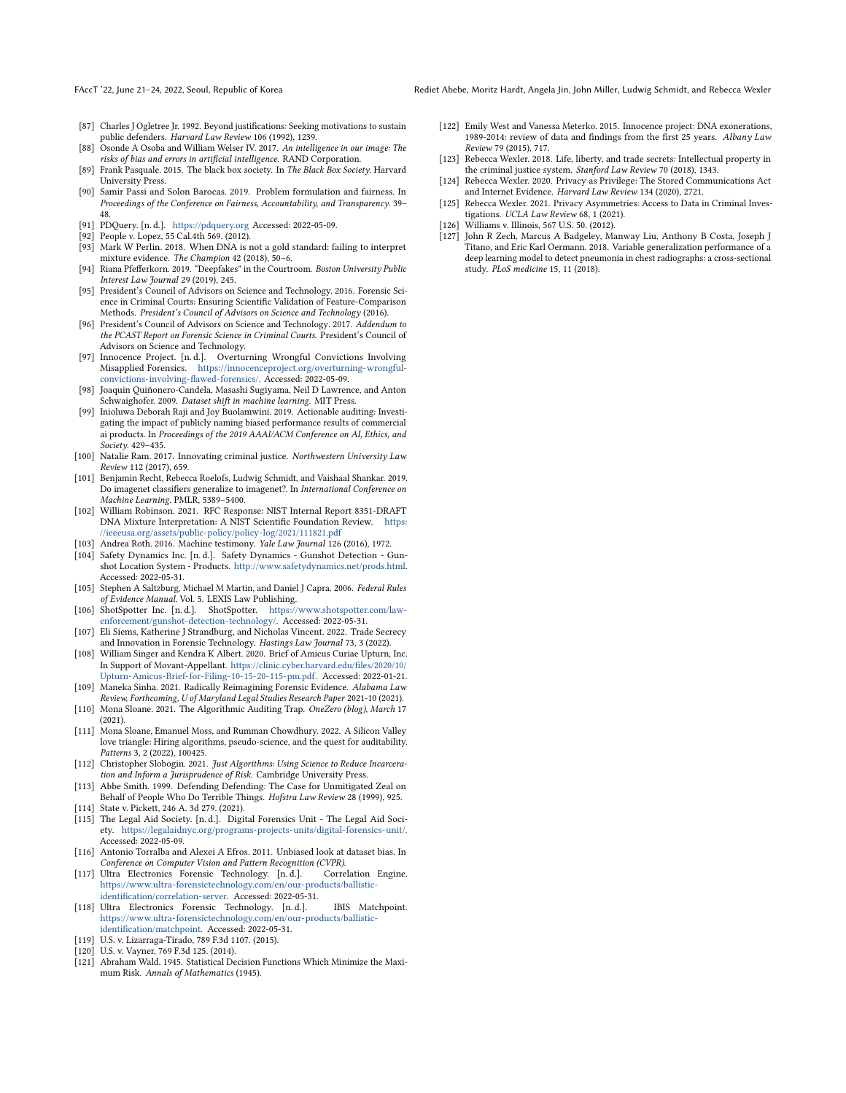- <span id="page-11-6"></span>[87] Charles J Ogletree Jr. 1992. Beyond justifications: Seeking motivations to sustain public defenders. Harvard Law Review 106 (1992), 1239.
- <span id="page-11-1"></span>[88] Osonde A Osoba and William Welser IV. 2017. An intelligence in our image: The risks of bias and errors in artificial intelligence. RAND Corporation.
- <span id="page-11-17"></span>[89] Frank Pasquale. 2015. The black box society. In The Black Box Society. Harvard University Press.
- <span id="page-11-25"></span>[90] Samir Passi and Solon Barocas. 2019. Problem formulation and fairness. In Proceedings of the Conference on Fairness, Accountability, and Transparency. 39– 48.
- <span id="page-11-32"></span>[91] PDQuery. [n. d.]. <https://pdquery.org> Accessed: 2022-05-09.
- <span id="page-11-0"></span>[92] People v. Lopez, 55 Cal.4th 569. (2012).
- <span id="page-11-14"></span>[93] Mark W Perlin. 2018. When DNA is not a gold standard: failing to interpret mixture evidence. The Champion 42 (2018), 50–6.
- <span id="page-11-36"></span>[94] Riana Pfefferkorn. 2019. "Deepfakes" in the Courtroom. Boston University Public Interest Law Journal 29 (2019), 245.
- <span id="page-11-15"></span>[95] President's Council of Advisors on Science and Technology. 2016. Forensic Science in Criminal Courts: Ensuring Scientific Validation of Feature-Comparison Methods. President's Council of Advisors on Science and Technology (2016).
- <span id="page-11-16"></span>[96] President's Council of Advisors on Science and Technology. 2017. Addendum to the PCAST Report on Forensic Science in Criminal Courts. President's Council of Advisors on Science and Technology.
- <span id="page-11-7"></span>[97] Innocence Project. [n. d.]. Overturning Wrongful Convictions Involving Misapplied Forensics. [https://innocenceproject.org/overturning-wrongful](https://innocenceproject.org/overturning-wrongful-convictions-involving-flawed-forensics/.)[convictions-involving-flawed-forensics/.](https://innocenceproject.org/overturning-wrongful-convictions-involving-flawed-forensics/.) Accessed: 2022-05-09.
- <span id="page-11-22"></span>[98] Joaquin Quiñonero-Candela, Masashi Sugiyama, Neil D Lawrence, and Anton Schwaighofer. 2009. Dataset shift in machine learning. MIT Press.
- <span id="page-11-2"></span>[99] Inioluwa Deborah Raji and Joy Buolamwini. 2019. Actionable auditing: Investigating the impact of publicly naming biased performance results of commercial ai products. In Proceedings of the 2019 AAAI/ACM Conference on AI, Ethics, and Society. 429–435.
- <span id="page-11-28"></span>[100] Natalie Ram. 2017. Innovating criminal justice. Northwestern University Law Review 112 (2017), 659.
- <span id="page-11-20"></span>[101] Benjamin Recht, Rebecca Roelofs, Ludwig Schmidt, and Vaishaal Shankar. 2019. Do imagenet classifiers generalize to imagenet?. In International Conference on Machine Learning. PMLR, 5389–5400.
- <span id="page-11-19"></span>[102] William Robinson. 2021. RFC Response: NIST Internal Report 8351-DRAFT DNA Mixture Interpretation: A NIST Scientific Foundation Review. [https:](https://ieeeusa.org/assets/public-policy/policy-log/2021/111821.pdf) [//ieeeusa.org/assets/public-policy/policy-log/2021/111821.pdf](https://ieeeusa.org/assets/public-policy/policy-log/2021/111821.pdf)
- <span id="page-11-12"></span>[103] Andrea Roth. 2016. Machine testimony. Yale Law Journal 126 (2016), 1972.
- <span id="page-11-37"></span>[104] Safety Dynamics Inc. [n. d.]. Safety Dynamics - Gunshot Detection - Gunshot Location System - Products. [http://www.safetydynamics.net/prods.html.](http://www.safetydynamics.net/prods.html) Accessed: 2022-05-31.
- <span id="page-11-10"></span>[105] Stephen A Saltzburg, Michael M Martin, and Daniel J Capra. 2006. Federal Rules of Evidence Manual. Vol. 5. LEXIS Law Publishing.
- <span id="page-11-38"></span>[106] ShotSpotter Inc. [n. d.]. ShotSpotter. [https://www.shotspotter.com/law](https://www.shotspotter.com/law-enforcement/gunshot-detection-technology/)[enforcement/gunshot-detection-technology/.](https://www.shotspotter.com/law-enforcement/gunshot-detection-technology/) Accessed: 2022-05-31.
- <span id="page-11-29"></span>[107] Eli Siems, Katherine J Strandburg, and Nicholas Vincent. 2022. Trade Secrecy and Innovation in Forensic Technology. Hastings Law Journal 73, 3 (2022).
- <span id="page-11-18"></span>[108] William Singer and Kendra K Albert. 2020. Brief of Amicus Curiae Upturn, Inc. In Support of Movant-Appellant. [https://clinic.cyber.harvard.edu/files/2020/10/](https://clinic.cyber.harvard.edu/files/2020/10/Upturn-Amicus-Brief-for-Filing-10-15-20-115-pm.pdf) [Upturn-Amicus-Brief-for-Filing-10-15-20-115-pm.pdf.](https://clinic.cyber.harvard.edu/files/2020/10/Upturn-Amicus-Brief-for-Filing-10-15-20-115-pm.pdf) Accessed: 2022-01-21.
- <span id="page-11-9"></span>[109] Maneka Sinha. 2021. Radically Reimagining Forensic Evidence. Alabama Law Review, Forthcoming, U of Maryland Legal Studies Research Paper 2021-10 (2021).
- <span id="page-11-26"></span>[110] Mona Sloane. 2021. The Algorithmic Auditing Trap. OneZero (blog), March 17 (2021).
- <span id="page-11-27"></span>[111] Mona Sloane, Emanuel Moss, and Rumman Chowdhury. 2022. A Silicon Valley love triangle: Hiring algorithms, pseudo-science, and the quest for auditability. Patterns 3, 2 (2022), 100425.
- <span id="page-11-3"></span>[112] Christopher Slobogin. 2021. Just Algorithms: Using Science to Reduce Incarceration and Inform a Jurisprudence of Risk. Cambridge University Press.
- <span id="page-11-5"></span>[113] Abbe Smith. 1999. Defending Defending: The Case for Unmitigated Zeal on Behalf of People Who Do Terrible Things. Hofstra Law Review 28 (1999), 925.
- <span id="page-11-33"></span><span id="page-11-13"></span>[114] State v. Pickett, 246 A. 3d 279. (2021). [115] The Legal Aid Society. [n. d.]. Digital Forensics Unit - The Legal Aid Society. <https://legalaidnyc.org/programs-projects-units/digital-forensics-unit/.> Accessed: 2022-05-09.
- <span id="page-11-24"></span>[116] Antonio Torralba and Alexei A Efros. 2011. Unbiased look at dataset bias. In Conference on Computer Vision and Pattern Recognition (CVPR).<br>Ultra Electronics Forensic Technology. [n.d.]. Correlation Engine.
- <span id="page-11-39"></span>[117] Ultra Electronics Forensic Technology. [n.d.]. [https://www.ultra-forensictechnology.com/en/our-products/ballistic](https://www.ultra-forensictechnology.com/en/our-products/ballistic-identification/correlation-server)[identification/correlation-server.](https://www.ultra-forensictechnology.com/en/our-products/ballistic-identification/correlation-server) Accessed: 2022-05-31.
- <span id="page-11-40"></span>[118] Ultra Electronics Forensic Technology. [n. d.]. IBIS Matchpoint. [https://www.ultra-forensictechnology.com/en/our-products/ballistic](https://www.ultra-forensictechnology.com/en/our-products/ballistic-identification/matchpoint)[identification/matchpoint.](https://www.ultra-forensictechnology.com/en/our-products/ballistic-identification/matchpoint) Accessed: 2022-05-31.
- <span id="page-11-35"></span>[119] U.S. v. Lizarraga-Tirado, 789 F.3d 1107. (2015).
- <span id="page-11-34"></span>[120] U.S. v. Vayner, 769 F.3d 125. (2014).
- <span id="page-11-23"></span>[121] Abraham Wald. 1945. Statistical Decision Functions Which Minimize the Maximum Risk. Annals of Mathematics (1945).
- <span id="page-11-8"></span>[122] Emily West and Vanessa Meterko. 2015. Innocence project: DNA exonerations, 1989-2014: review of data and findings from the first 25 years. Albany Law Review 79 (2015), 717.
- <span id="page-11-30"></span>[123] Rebecca Wexler. 2018. Life, liberty, and trade secrets: Intellectual property in the criminal justice system. Stanford Law Review 70 (2018), 1343.
- <span id="page-11-31"></span>[124] Rebecca Wexler. 2020. Privacy as Privilege: The Stored Communications Act and Internet Evidence. Harvard Law Review 134 (2020), 2721.
- <span id="page-11-4"></span>[125] Rebecca Wexler. 2021. Privacy Asymmetries: Access to Data in Criminal Investigations. UCLA Law Review 68, 1 (2021).
- <span id="page-11-11"></span>[126] Williams v. Illinois, 567 U.S. 50. (2012).
- <span id="page-11-21"></span>[127] John R Zech, Marcus A Badgeley, Manway Liu, Anthony B Costa, Joseph J Titano, and Eric Karl Oermann. 2018. Variable generalization performance of a deep learning model to detect pneumonia in chest radiographs: a cross-sectional study. PLoS medicine 15, 11 (2018).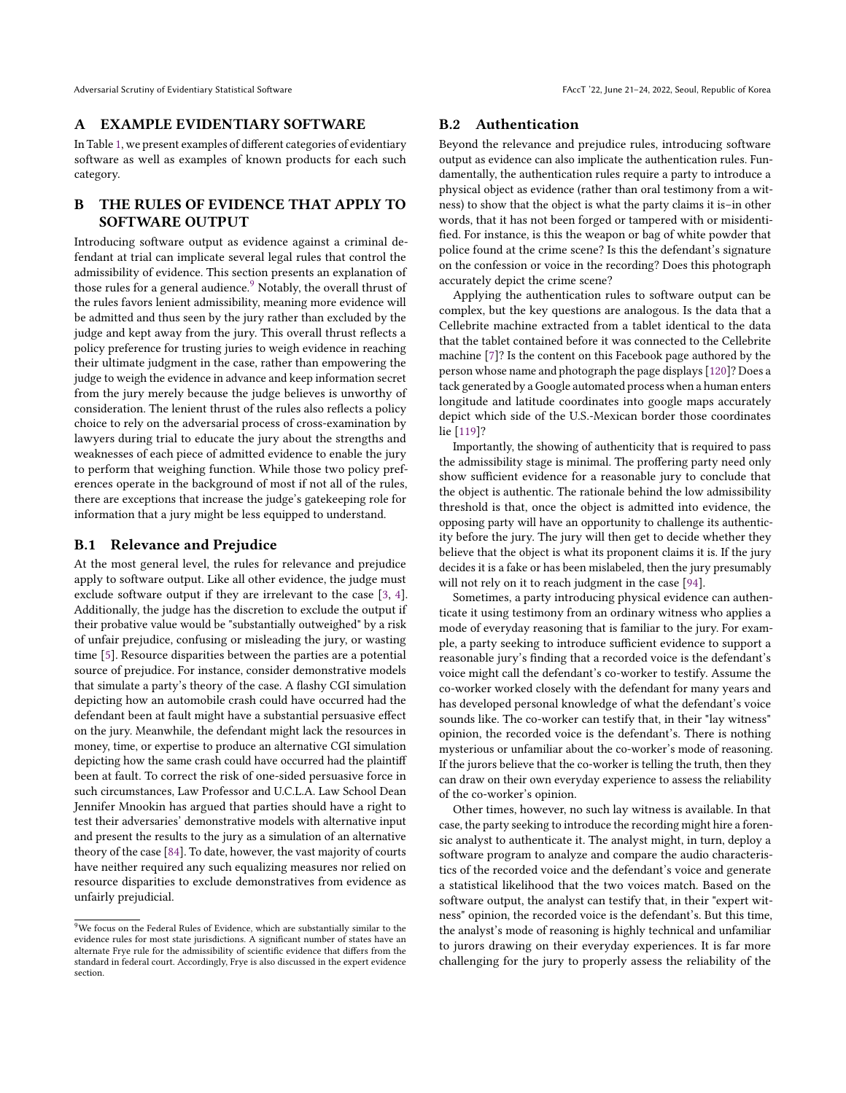## A EXAMPLE EVIDENTIARY SOFTWARE

In Table [1,](#page-13-1) we present examples of different categories of evidentiary software as well as examples of known products for each such category.

# B THE RULES OF EVIDENCE THAT APPLY TO SOFTWARE OUTPUT

Introducing software output as evidence against a criminal defendant at trial can implicate several legal rules that control the admissibility of evidence. This section presents an explanation of those rules for a general audience. $9$  Notably, the overall thrust of the rules favors lenient admissibility, meaning more evidence will be admitted and thus seen by the jury rather than excluded by the judge and kept away from the jury. This overall thrust reflects a policy preference for trusting juries to weigh evidence in reaching their ultimate judgment in the case, rather than empowering the judge to weigh the evidence in advance and keep information secret from the jury merely because the judge believes is unworthy of consideration. The lenient thrust of the rules also reflects a policy choice to rely on the adversarial process of cross-examination by lawyers during trial to educate the jury about the strengths and weaknesses of each piece of admitted evidence to enable the jury to perform that weighing function. While those two policy preferences operate in the background of most if not all of the rules, there are exceptions that increase the judge's gatekeeping role for information that a jury might be less equipped to understand.

#### B.1 Relevance and Prejudice

At the most general level, the rules for relevance and prejudice apply to software output. Like all other evidence, the judge must exclude software output if they are irrelevant to the case [\[3,](#page-9-25) [4\]](#page-9-4). Additionally, the judge has the discretion to exclude the output if their probative value would be "substantially outweighed" by a risk of unfair prejudice, confusing or misleading the jury, or wasting time [\[5\]](#page-9-5). Resource disparities between the parties are a potential source of prejudice. For instance, consider demonstrative models that simulate a party's theory of the case. A flashy CGI simulation depicting how an automobile crash could have occurred had the defendant been at fault might have a substantial persuasive effect on the jury. Meanwhile, the defendant might lack the resources in money, time, or expertise to produce an alternative CGI simulation depicting how the same crash could have occurred had the plaintiff been at fault. To correct the risk of one-sided persuasive force in such circumstances, Law Professor and U.C.L.A. Law School Dean Jennifer Mnookin has argued that parties should have a right to test their adversaries' demonstrative models with alternative input and present the results to the jury as a simulation of an alternative theory of the case [\[84\]](#page-10-51). To date, however, the vast majority of courts have neither required any such equalizing measures nor relied on resource disparities to exclude demonstratives from evidence as unfairly prejudicial.

## B.2 Authentication

Beyond the relevance and prejudice rules, introducing software output as evidence can also implicate the authentication rules. Fundamentally, the authentication rules require a party to introduce a physical object as evidence (rather than oral testimony from a witness) to show that the object is what the party claims it is–in other words, that it has not been forged or tampered with or misidentified. For instance, is this the weapon or bag of white powder that police found at the crime scene? Is this the defendant's signature on the confession or voice in the recording? Does this photograph accurately depict the crime scene?

Applying the authentication rules to software output can be complex, but the key questions are analogous. Is the data that a Cellebrite machine extracted from a tablet identical to the data that the tablet contained before it was connected to the Cellebrite machine [\[7\]](#page-9-26)? Is the content on this Facebook page authored by the person whose name and photograph the page displays [\[120\]](#page-11-34)? Does a tack generated by a Google automated process when a human enters longitude and latitude coordinates into google maps accurately depict which side of the U.S.-Mexican border those coordinates lie [\[119\]](#page-11-35)?

Importantly, the showing of authenticity that is required to pass the admissibility stage is minimal. The proffering party need only show sufficient evidence for a reasonable jury to conclude that the object is authentic. The rationale behind the low admissibility threshold is that, once the object is admitted into evidence, the opposing party will have an opportunity to challenge its authenticity before the jury. The jury will then get to decide whether they believe that the object is what its proponent claims it is. If the jury decides it is a fake or has been mislabeled, then the jury presumably will not rely on it to reach judgment in the case [\[94\]](#page-11-36).

Sometimes, a party introducing physical evidence can authenticate it using testimony from an ordinary witness who applies a mode of everyday reasoning that is familiar to the jury. For example, a party seeking to introduce sufficient evidence to support a reasonable jury's finding that a recorded voice is the defendant's voice might call the defendant's co-worker to testify. Assume the co-worker worked closely with the defendant for many years and has developed personal knowledge of what the defendant's voice sounds like. The co-worker can testify that, in their "lay witness" opinion, the recorded voice is the defendant's. There is nothing mysterious or unfamiliar about the co-worker's mode of reasoning. If the jurors believe that the co-worker is telling the truth, then they can draw on their own everyday experience to assess the reliability of the co-worker's opinion.

Other times, however, no such lay witness is available. In that case, the party seeking to introduce the recording might hire a forensic analyst to authenticate it. The analyst might, in turn, deploy a software program to analyze and compare the audio characteristics of the recorded voice and the defendant's voice and generate a statistical likelihood that the two voices match. Based on the software output, the analyst can testify that, in their "expert witness" opinion, the recorded voice is the defendant's. But this time, the analyst's mode of reasoning is highly technical and unfamiliar to jurors drawing on their everyday experiences. It is far more challenging for the jury to properly assess the reliability of the

<span id="page-12-0"></span><sup>&</sup>lt;sup>9</sup>We focus on the Federal Rules of Evidence, which are substantially similar to the evidence rules for most state jurisdictions. A significant number of states have an alternate Frye rule for the admissibility of scientific evidence that differs from the standard in federal court. Accordingly, Frye is also discussed in the expert evidence section.